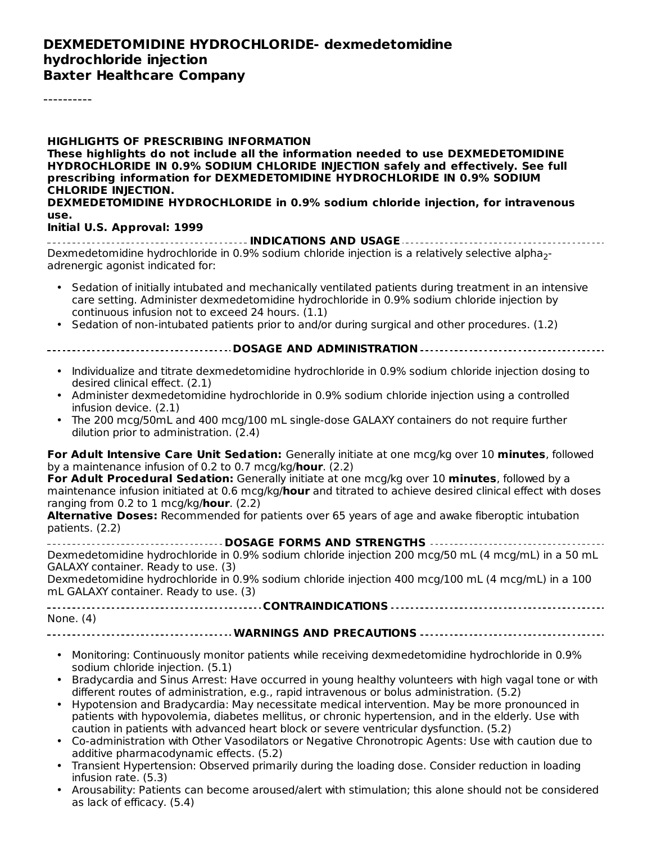#### **DEXMEDETOMIDINE HYDROCHLORIDE- dexmedetomidine hydrochloride injection Baxter Healthcare Company**

----------

**HIGHLIGHTS OF PRESCRIBING INFORMATION These highlights do not include all the information needed to use DEXMEDETOMIDINE HYDROCHLORIDE IN 0.9% SODIUM CHLORIDE INJECTION safely and effectively. See full prescribing information for DEXMEDETOMIDINE HYDROCHLORIDE IN 0.9% SODIUM CHLORIDE INJECTION. DEXMEDETOMIDINE HYDROCHLORIDE in 0.9% sodium chloride injection, for intravenous use.**

#### **Initial U.S. Approval: 1999**

**INDICATIONS AND USAGE** Dexmedetomidine hydrochloride in 0.9% sodium chloride injection is a relatively selective alpha<sub>2</sub>adrenergic agonist indicated for:

- Sedation of initially intubated and mechanically ventilated patients during treatment in an intensive care setting. Administer dexmedetomidine hydrochloride in 0.9% sodium chloride injection by continuous infusion not to exceed 24 hours. (1.1)
- Sedation of non-intubated patients prior to and/or during surgical and other procedures. (1.2)

#### **DOSAGE AND ADMINISTRATION**

- Individualize and titrate dexmedetomidine hydrochloride in 0.9% sodium chloride injection dosing to desired clinical effect. (2.1)
- Administer dexmedetomidine hydrochloride in 0.9% sodium chloride injection using a controlled infusion device. (2.1)
- The 200 mcg/50mL and 400 mcg/100 mL single-dose GALAXY containers do not require further dilution prior to administration. (2.4)

**For Adult Intensive Care Unit Sedation:** Generally initiate at one mcg/kg over 10 **minutes**, followed by a maintenance infusion of 0.2 to 0.7 mcg/kg/**hour**. (2.2)

**For Adult Procedural Sedation:** Generally initiate at one mcg/kg over 10 **minutes**, followed by a maintenance infusion initiated at 0.6 mcg/kg/**hour** and titrated to achieve desired clinical effect with doses ranging from 0.2 to 1 mcg/kg/**hour**. (2.2)

**Alternative Doses:** Recommended for patients over 65 years of age and awake fiberoptic intubation patients. (2.2)

**DOSAGE FORMS AND STRENGTHS** Dexmedetomidine hydrochloride in 0.9% sodium chloride injection 200 mcg/50 mL (4 mcg/mL) in a 50 mL GALAXY container. Ready to use. (3)

Dexmedetomidine hydrochloride in 0.9% sodium chloride injection 400 mcg/100 mL (4 mcg/mL) in a 100 mL GALAXY container. Ready to use. (3)

**CONTRAINDICATIONS** None. (4)

#### **WARNINGS AND PRECAUTIONS**

- Monitoring: Continuously monitor patients while receiving dexmedetomidine hydrochloride in 0.9% sodium chloride injection. (5.1)
- Bradycardia and Sinus Arrest: Have occurred in young healthy volunteers with high vagal tone or with different routes of administration, e.g., rapid intravenous or bolus administration. (5.2)
- Hypotension and Bradycardia: May necessitate medical intervention. May be more pronounced in patients with hypovolemia, diabetes mellitus, or chronic hypertension, and in the elderly. Use with caution in patients with advanced heart block or severe ventricular dysfunction. (5.2)
- Co-administration with Other Vasodilators or Negative Chronotropic Agents: Use with caution due to additive pharmacodynamic effects. (5.2)
- Transient Hypertension: Observed primarily during the loading dose. Consider reduction in loading infusion rate. (5.3)
- Arousability: Patients can become aroused/alert with stimulation; this alone should not be considered as lack of efficacy. (5.4)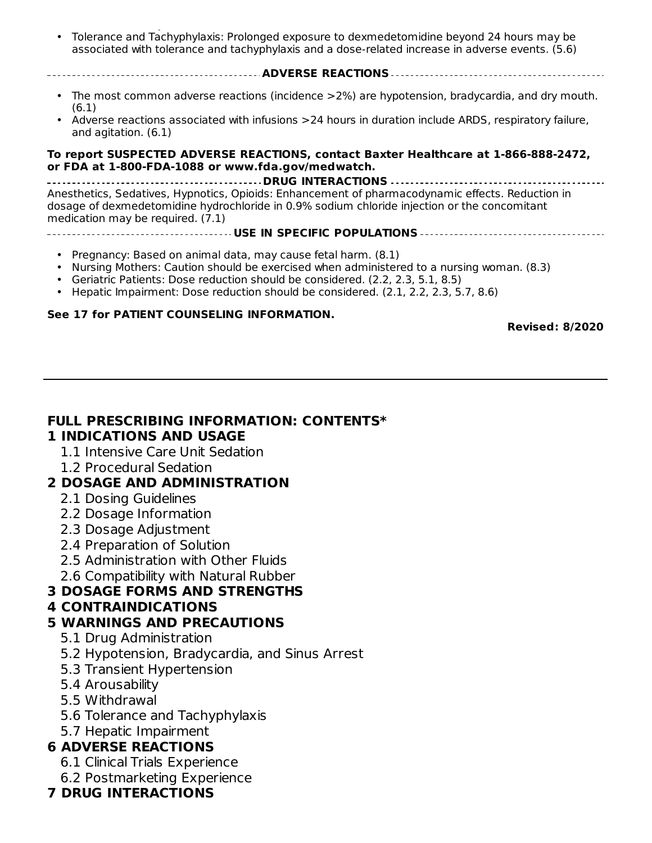• as lack of efficacy. (5.4) Tolerance and Tachyphylaxis: Prolonged exposure to dexmedetomidine beyond 24 hours may be associated with tolerance and tachyphylaxis and a dose-related increase in adverse events. (5.6)

**ADVERSE REACTIONS**

- The most common adverse reactions (incidence >2%) are hypotension, bradycardia, and dry mouth. (6.1)
- Adverse reactions associated with infusions >24 hours in duration include ARDS, respiratory failure, and agitation. (6.1)

#### **To report SUSPECTED ADVERSE REACTIONS, contact Baxter Healthcare at 1-866-888-2472, or FDA at 1-800-FDA-1088 or www.fda.gov/medwatch.**

**DRUG INTERACTIONS** Anesthetics, Sedatives, Hypnotics, Opioids: Enhancement of pharmacodynamic effects. Reduction in dosage of dexmedetomidine hydrochloride in 0.9% sodium chloride injection or the concomitant medication may be required. (7.1)

#### **USE IN SPECIFIC POPULATIONS**

- Pregnancy: Based on animal data, may cause fetal harm. (8.1)
- Nursing Mothers: Caution should be exercised when administered to a nursing woman. (8.3)
- Geriatric Patients: Dose reduction should be considered. (2.2, 2.3, 5.1, 8.5)
- Hepatic Impairment: Dose reduction should be considered. (2.1, 2.2, 2.3, 5.7, 8.6)

#### **See 17 for PATIENT COUNSELING INFORMATION.**

**Revised: 8/2020**

#### **FULL PRESCRIBING INFORMATION: CONTENTS\* 1 INDICATIONS AND USAGE**

- 1.1 Intensive Care Unit Sedation
- 1.2 Procedural Sedation

#### **2 DOSAGE AND ADMINISTRATION**

- 2.1 Dosing Guidelines
- 2.2 Dosage Information
- 2.3 Dosage Adjustment
- 2.4 Preparation of Solution
- 2.5 Administration with Other Fluids
- 2.6 Compatibility with Natural Rubber

#### **3 DOSAGE FORMS AND STRENGTHS**

#### **4 CONTRAINDICATIONS**

#### **5 WARNINGS AND PRECAUTIONS**

- 5.1 Drug Administration
- 5.2 Hypotension, Bradycardia, and Sinus Arrest
- 5.3 Transient Hypertension
- 5.4 Arousability
- 5.5 Withdrawal
- 5.6 Tolerance and Tachyphylaxis
- 5.7 Hepatic Impairment

#### **6 ADVERSE REACTIONS**

- 6.1 Clinical Trials Experience
- 6.2 Postmarketing Experience

#### **7 DRUG INTERACTIONS**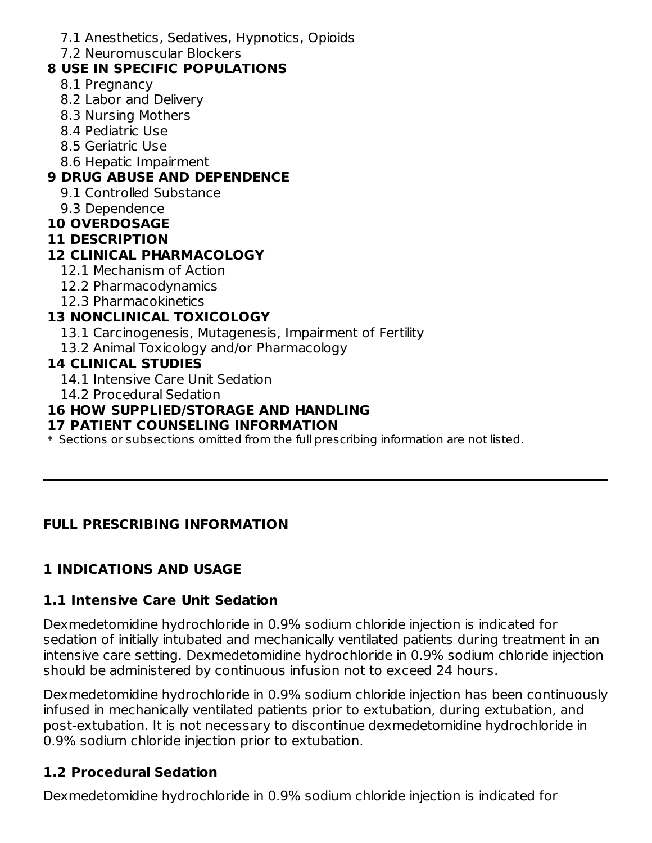- 7.1 Anesthetics, Sedatives, Hypnotics, Opioids
- 7.2 Neuromuscular Blockers

# **8 USE IN SPECIFIC POPULATIONS**

- 8.1 Pregnancy
- 8.2 Labor and Delivery
- 8.3 Nursing Mothers
- 8.4 Pediatric Use
- 8.5 Geriatric Use
- 8.6 Hepatic Impairment

# **9 DRUG ABUSE AND DEPENDENCE**

- 9.1 Controlled Substance
- 9.3 Dependence
- **10 OVERDOSAGE**
- **11 DESCRIPTION**

# **12 CLINICAL PHARMACOLOGY**

- 12.1 Mechanism of Action
- 12.2 Pharmacodynamics
- 12.3 Pharmacokinetics

# **13 NONCLINICAL TOXICOLOGY**

- 13.1 Carcinogenesis, Mutagenesis, Impairment of Fertility
- 13.2 Animal Toxicology and/or Pharmacology

## **14 CLINICAL STUDIES**

- 14.1 Intensive Care Unit Sedation
- 14.2 Procedural Sedation

## **16 HOW SUPPLIED/STORAGE AND HANDLING**

## **17 PATIENT COUNSELING INFORMATION**

 $\ast$  Sections or subsections omitted from the full prescribing information are not listed.

# **FULL PRESCRIBING INFORMATION**

# **1 INDICATIONS AND USAGE**

## **1.1 Intensive Care Unit Sedation**

Dexmedetomidine hydrochloride in 0.9% sodium chloride injection is indicated for sedation of initially intubated and mechanically ventilated patients during treatment in an intensive care setting. Dexmedetomidine hydrochloride in 0.9% sodium chloride injection should be administered by continuous infusion not to exceed 24 hours.

Dexmedetomidine hydrochloride in 0.9% sodium chloride injection has been continuously infused in mechanically ventilated patients prior to extubation, during extubation, and post-extubation. It is not necessary to discontinue dexmedetomidine hydrochloride in 0.9% sodium chloride injection prior to extubation.

# **1.2 Procedural Sedation**

Dexmedetomidine hydrochloride in 0.9% sodium chloride injection is indicated for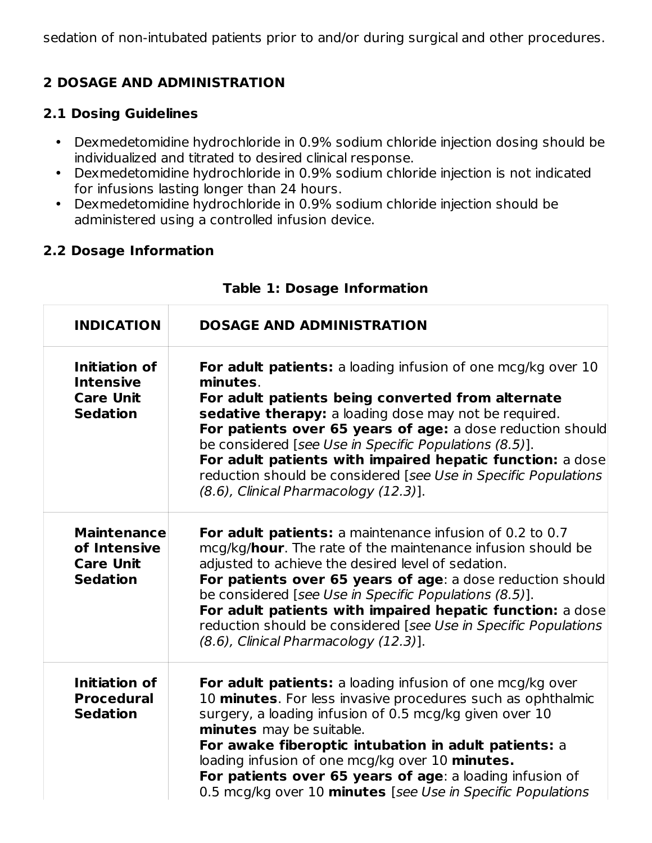sedation of non-intubated patients prior to and/or during surgical and other procedures.

## **2 DOSAGE AND ADMINISTRATION**

### **2.1 Dosing Guidelines**

- Dexmedetomidine hydrochloride in 0.9% sodium chloride injection dosing should be individualized and titrated to desired clinical response.
- Dexmedetomidine hydrochloride in 0.9% sodium chloride injection is not indicated for infusions lasting longer than 24 hours.
- Dexmedetomidine hydrochloride in 0.9% sodium chloride injection should be administered using a controlled infusion device.

## **2.2 Dosage Information**

| <b>INDICATION</b>                                                         | <b>DOSAGE AND ADMINISTRATION</b>                                                                                                                                                                                                                                                                                                                                                                                                                                                               |
|---------------------------------------------------------------------------|------------------------------------------------------------------------------------------------------------------------------------------------------------------------------------------------------------------------------------------------------------------------------------------------------------------------------------------------------------------------------------------------------------------------------------------------------------------------------------------------|
| Initiation of<br><b>Intensive</b><br><b>Care Unit</b><br><b>Sedation</b>  | <b>For adult patients:</b> a loading infusion of one mcg/kg over 10<br>minutes.<br>For adult patients being converted from alternate<br>sedative therapy: a loading dose may not be required.<br>For patients over 65 years of age: a dose reduction should<br>be considered [see Use in Specific Populations (8.5)].<br>For adult patients with impaired hepatic function: a dose<br>reduction should be considered [see Use in Specific Populations<br>(8.6), Clinical Pharmacology (12.3)]. |
| <b>Maintenance</b><br>of Intensive<br><b>Care Unit</b><br><b>Sedation</b> | For adult patients: a maintenance infusion of 0.2 to 0.7<br>mcg/kg/hour. The rate of the maintenance infusion should be<br>adjusted to achieve the desired level of sedation.<br>For patients over 65 years of age: a dose reduction should<br>be considered [see Use in Specific Populations (8.5)].<br>For adult patients with impaired hepatic function: a dose<br>reduction should be considered [see Use in Specific Populations<br>(8.6), Clinical Pharmacology (12.3)].                 |
| Initiation of<br><b>Procedural</b><br><b>Sedation</b>                     | <b>For adult patients:</b> a loading infusion of one mcg/kg over<br>10 minutes. For less invasive procedures such as ophthalmic<br>surgery, a loading infusion of 0.5 mcg/kg given over 10<br>minutes may be suitable.<br>For awake fiberoptic intubation in adult patients: a<br>loading infusion of one mcg/kg over 10 minutes.<br>For patients over 65 years of age: a loading infusion of<br>0.5 mcg/kg over 10 minutes [see Use in Specific Populations                                   |

#### **Table 1: Dosage Information**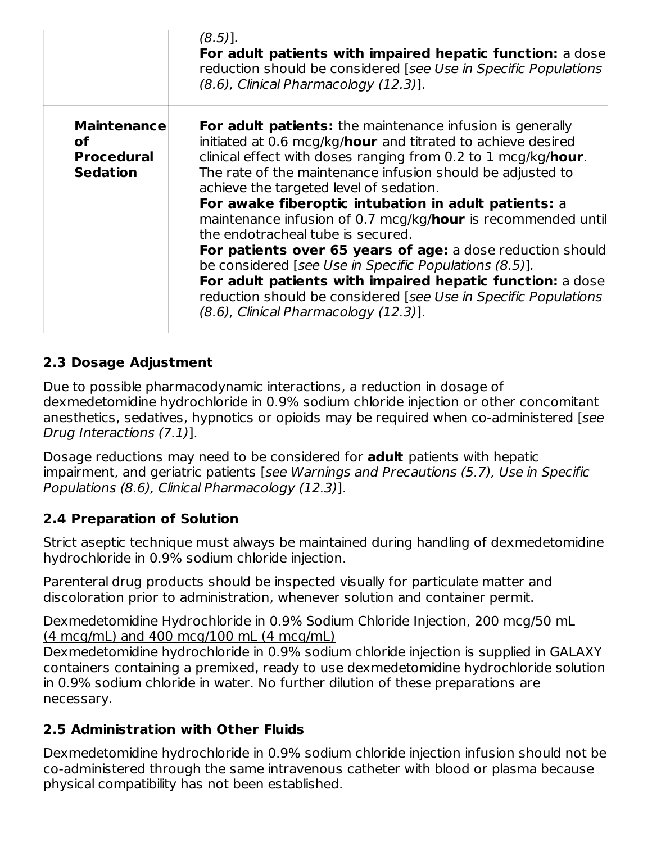|                                                                  | $(8.5)$ ].<br>For adult patients with impaired hepatic function: a dose<br>reduction should be considered [see Use in Specific Populations<br>(8.6), Clinical Pharmacology (12.3)].                                                                                                                                                                                                                                                                                                                                                                                                                                                                                                                                                                                      |
|------------------------------------------------------------------|--------------------------------------------------------------------------------------------------------------------------------------------------------------------------------------------------------------------------------------------------------------------------------------------------------------------------------------------------------------------------------------------------------------------------------------------------------------------------------------------------------------------------------------------------------------------------------------------------------------------------------------------------------------------------------------------------------------------------------------------------------------------------|
| <b>Maintenance</b><br>οf<br><b>Procedural</b><br><b>Sedation</b> | <b>For adult patients:</b> the maintenance infusion is generally<br>initiated at 0.6 mcg/kg/hour and titrated to achieve desired<br>clinical effect with doses ranging from 0.2 to 1 mcg/kg/hour.<br>The rate of the maintenance infusion should be adjusted to<br>achieve the targeted level of sedation.<br>For awake fiberoptic intubation in adult patients: a<br>maintenance infusion of 0.7 mcg/kg/hour is recommended until<br>the endotracheal tube is secured.<br>For patients over 65 years of age: a dose reduction should<br>be considered [see Use in Specific Populations (8.5)].<br>For adult patients with impaired hepatic function: a dose<br>reduction should be considered [see Use in Specific Populations<br>(8.6), Clinical Pharmacology (12.3)]. |

## **2.3 Dosage Adjustment**

Due to possible pharmacodynamic interactions, a reduction in dosage of dexmedetomidine hydrochloride in 0.9% sodium chloride injection or other concomitant anesthetics, sedatives, hypnotics or opioids may be required when co-administered [see Drug Interactions (7.1)].

Dosage reductions may need to be considered for **adult** patients with hepatic impairment, and geriatric patients [see Warnings and Precautions (5.7), Use in Specific Populations (8.6), Clinical Pharmacology (12.3)].

### **2.4 Preparation of Solution**

Strict aseptic technique must always be maintained during handling of dexmedetomidine hydrochloride in 0.9% sodium chloride injection.

Parenteral drug products should be inspected visually for particulate matter and discoloration prior to administration, whenever solution and container permit.

Dexmedetomidine Hydrochloride in 0.9% Sodium Chloride Injection, 200 mcg/50 mL (4 mcg/mL) and 400 mcg/100 mL (4 mcg/mL)

Dexmedetomidine hydrochloride in 0.9% sodium chloride injection is supplied in GALAXY containers containing a premixed, ready to use dexmedetomidine hydrochloride solution in 0.9% sodium chloride in water. No further dilution of these preparations are necessary.

### **2.5 Administration with Other Fluids**

Dexmedetomidine hydrochloride in 0.9% sodium chloride injection infusion should not be co‑administered through the same intravenous catheter with blood or plasma because physical compatibility has not been established.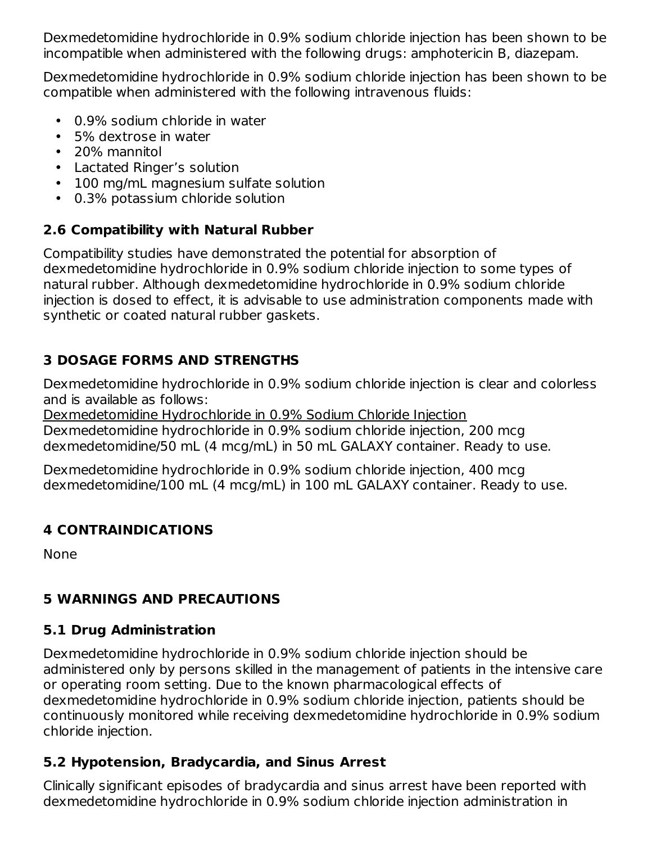Dexmedetomidine hydrochloride in 0.9% sodium chloride injection has been shown to be incompatible when administered with the following drugs: amphotericin B, diazepam.

Dexmedetomidine hydrochloride in 0.9% sodium chloride injection has been shown to be compatible when administered with the following intravenous fluids:

- 0.9% sodium chloride in water
- 5% dextrose in water
- 20% mannitol
- Lactated Ringer's solution
- 100 mg/mL magnesium sulfate solution
- 0.3% potassium chloride solution

## **2.6 Compatibility with Natural Rubber**

Compatibility studies have demonstrated the potential for absorption of dexmedetomidine hydrochloride in 0.9% sodium chloride injection to some types of natural rubber. Although dexmedetomidine hydrochloride in 0.9% sodium chloride injection is dosed to effect, it is advisable to use administration components made with synthetic or coated natural rubber gaskets.

# **3 DOSAGE FORMS AND STRENGTHS**

Dexmedetomidine hydrochloride in 0.9% sodium chloride injection is clear and colorless and is available as follows:

Dexmedetomidine Hydrochloride in 0.9% Sodium Chloride Injection Dexmedetomidine hydrochloride in 0.9% sodium chloride injection, 200 mcg dexmedetomidine/50 mL (4 mcg/mL) in 50 mL GALAXY container. Ready to use.

Dexmedetomidine hydrochloride in 0.9% sodium chloride injection, 400 mcg dexmedetomidine/100 mL (4 mcg/mL) in 100 mL GALAXY container. Ready to use.

## **4 CONTRAINDICATIONS**

None

# **5 WARNINGS AND PRECAUTIONS**

## **5.1 Drug Administration**

Dexmedetomidine hydrochloride in 0.9% sodium chloride injection should be administered only by persons skilled in the management of patients in the intensive care or operating room setting. Due to the known pharmacological effects of dexmedetomidine hydrochloride in 0.9% sodium chloride injection, patients should be continuously monitored while receiving dexmedetomidine hydrochloride in 0.9% sodium chloride injection.

# **5.2 Hypotension, Bradycardia, and Sinus Arrest**

Clinically significant episodes of bradycardia and sinus arrest have been reported with dexmedetomidine hydrochloride in 0.9% sodium chloride injection administration in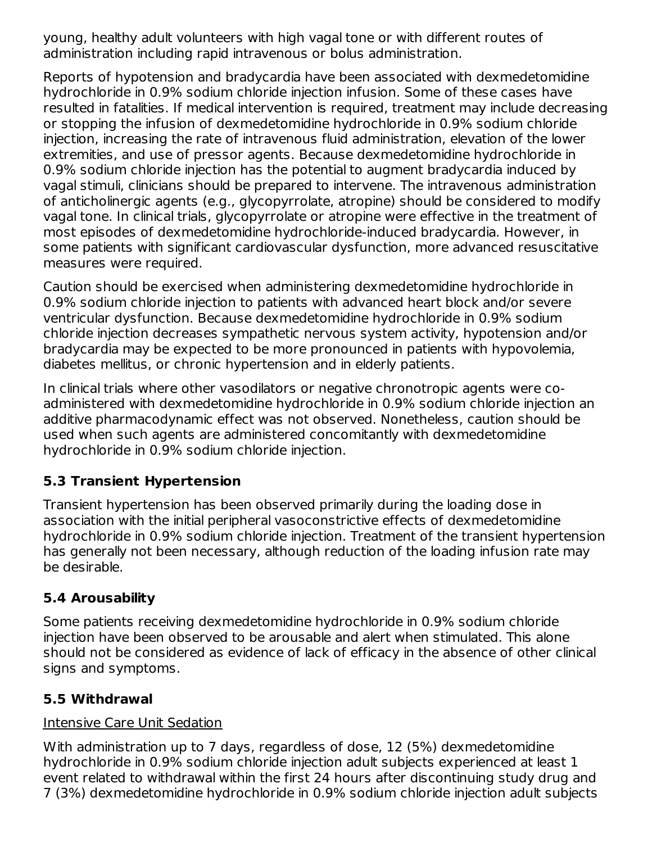young, healthy adult volunteers with high vagal tone or with different routes of administration including rapid intravenous or bolus administration.

Reports of hypotension and bradycardia have been associated with dexmedetomidine hydrochloride in 0.9% sodium chloride injection infusion. Some of these cases have resulted in fatalities. If medical intervention is required, treatment may include decreasing or stopping the infusion of dexmedetomidine hydrochloride in 0.9% sodium chloride injection, increasing the rate of intravenous fluid administration, elevation of the lower extremities, and use of pressor agents. Because dexmedetomidine hydrochloride in 0.9% sodium chloride injection has the potential to augment bradycardia induced by vagal stimuli, clinicians should be prepared to intervene. The intravenous administration of anticholinergic agents (e.g., glycopyrrolate, atropine) should be considered to modify vagal tone. In clinical trials, glycopyrrolate or atropine were effective in the treatment of most episodes of dexmedetomidine hydrochloride-induced bradycardia. However, in some patients with significant cardiovascular dysfunction, more advanced resuscitative measures were required.

Caution should be exercised when administering dexmedetomidine hydrochloride in 0.9% sodium chloride injection to patients with advanced heart block and/or severe ventricular dysfunction. Because dexmedetomidine hydrochloride in 0.9% sodium chloride injection decreases sympathetic nervous system activity, hypotension and/or bradycardia may be expected to be more pronounced in patients with hypovolemia, diabetes mellitus, or chronic hypertension and in elderly patients.

In clinical trials where other vasodilators or negative chronotropic agents were coadministered with dexmedetomidine hydrochloride in 0.9% sodium chloride injection an additive pharmacodynamic effect was not observed. Nonetheless, caution should be used when such agents are administered concomitantly with dexmedetomidine hydrochloride in 0.9% sodium chloride injection.

# **5.3 Transient Hypertension**

Transient hypertension has been observed primarily during the loading dose in association with the initial peripheral vasoconstrictive effects of dexmedetomidine hydrochloride in 0.9% sodium chloride injection. Treatment of the transient hypertension has generally not been necessary, although reduction of the loading infusion rate may be desirable.

## **5.4 Arousability**

Some patients receiving dexmedetomidine hydrochloride in 0.9% sodium chloride injection have been observed to be arousable and alert when stimulated. This alone should not be considered as evidence of lack of efficacy in the absence of other clinical signs and symptoms.

## **5.5 Withdrawal**

## Intensive Care Unit Sedation

With administration up to 7 days, regardless of dose, 12 (5%) dexmedetomidine hydrochloride in 0.9% sodium chloride injection adult subjects experienced at least 1 event related to withdrawal within the first 24 hours after discontinuing study drug and 7 (3%) dexmedetomidine hydrochloride in 0.9% sodium chloride injection adult subjects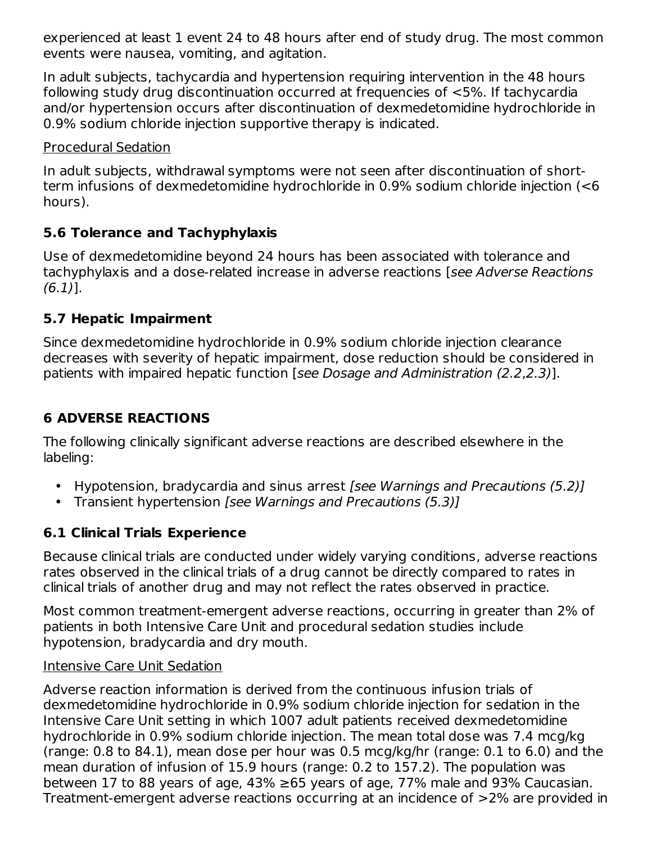experienced at least 1 event 24 to 48 hours after end of study drug. The most common events were nausea, vomiting, and agitation.

In adult subjects, tachycardia and hypertension requiring intervention in the 48 hours following study drug discontinuation occurred at frequencies of <5%. If tachycardia and/or hypertension occurs after discontinuation of dexmedetomidine hydrochloride in 0.9% sodium chloride injection supportive therapy is indicated.

### Procedural Sedation

In adult subjects, withdrawal symptoms were not seen after discontinuation of shortterm infusions of dexmedetomidine hydrochloride in 0.9% sodium chloride injection (<6 hours).

## **5.6 Tolerance and Tachyphylaxis**

Use of dexmedetomidine beyond 24 hours has been associated with tolerance and tachyphylaxis and a dose-related increase in adverse reactions [see Adverse Reactions (6.1)].

## **5.7 Hepatic Impairment**

Since dexmedetomidine hydrochloride in 0.9% sodium chloride injection clearance decreases with severity of hepatic impairment, dose reduction should be considered in patients with impaired hepatic function [see Dosage and Administration (2.2,2.3)].

# **6 ADVERSE REACTIONS**

The following clinically significant adverse reactions are described elsewhere in the labeling:

- Hypotension, bradycardia and sinus arrest [see Warnings and Precautions (5.2)]
- Transient hypertension [see Warnings and Precautions (5.3)]

# **6.1 Clinical Trials Experience**

Because clinical trials are conducted under widely varying conditions, adverse reactions rates observed in the clinical trials of a drug cannot be directly compared to rates in clinical trials of another drug and may not reflect the rates observed in practice.

Most common treatment-emergent adverse reactions, occurring in greater than 2% of patients in both Intensive Care Unit and procedural sedation studies include hypotension, bradycardia and dry mouth.

### Intensive Care Unit Sedation

Adverse reaction information is derived from the continuous infusion trials of dexmedetomidine hydrochloride in 0.9% sodium chloride injection for sedation in the Intensive Care Unit setting in which 1007 adult patients received dexmedetomidine hydrochloride in 0.9% sodium chloride injection. The mean total dose was 7.4 mcg/kg (range: 0.8 to 84.1), mean dose per hour was 0.5 mcg/kg/hr (range: 0.1 to 6.0) and the mean duration of infusion of 15.9 hours (range: 0.2 to 157.2). The population was between 17 to 88 years of age,  $43\% \ge 65$  years of age, 77% male and 93% Caucasian. Treatment-emergent adverse reactions occurring at an incidence of >2% are provided in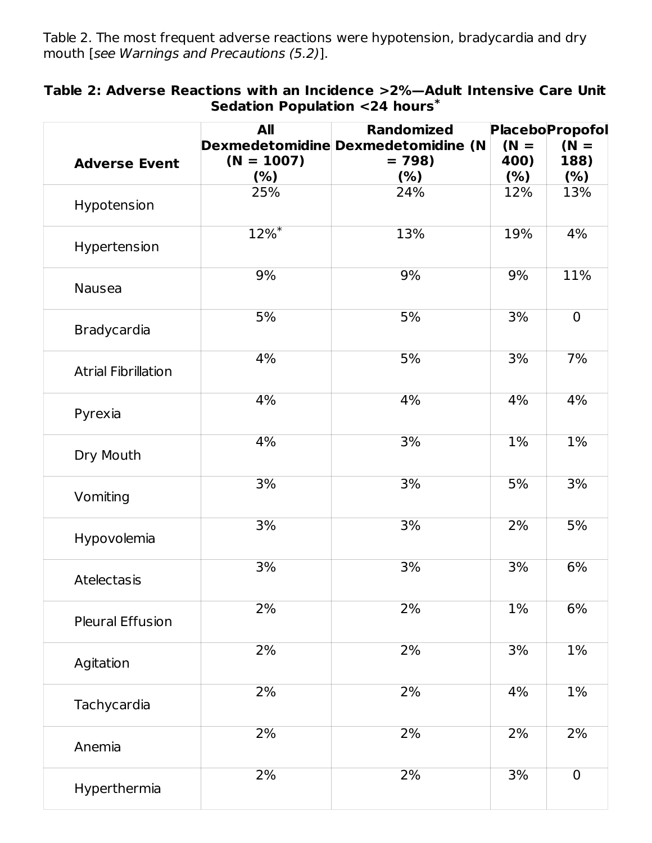Table 2. The most frequent adverse reactions were hypotension, bradycardia and dry mouth [see Warnings and Precautions (5.2)].

| Table 2: Adverse Reactions with an Incidence >2%—Adult Intensive Care Unit |  |
|----------------------------------------------------------------------------|--|
| Sedation Population <24 hours*                                             |  |

| <b>Adverse Event</b>       | All<br>$(N = 1007)$<br>(%) | <b>Randomized</b><br>Dexmedetomidine Dexmedetomidine (N<br>$= 798$<br>(%) | $(N =$<br>400)<br>(% ) | <b>Placebo</b> Propofol<br>$(N =$<br>188)<br>(% ) |
|----------------------------|----------------------------|---------------------------------------------------------------------------|------------------------|---------------------------------------------------|
| Hypotension                | 25%                        | 24%                                                                       | 12%                    | 13%                                               |
| Hypertension               | $12%$ <sup>*</sup>         | 13%                                                                       | 19%                    | 4%                                                |
| Nausea                     | 9%                         | 9%                                                                        | 9%                     | 11%                                               |
| Bradycardia                | 5%                         | 5%                                                                        | 3%                     | $\mathbf 0$                                       |
| <b>Atrial Fibrillation</b> | 4%                         | 5%                                                                        | 3%                     | 7%                                                |
| Pyrexia                    | 4%                         | 4%                                                                        | 4%                     | 4%                                                |
| Dry Mouth                  | 4%                         | 3%                                                                        | 1%                     | 1%                                                |
| Vomiting                   | 3%                         | 3%                                                                        | 5%                     | 3%                                                |
| Hypovolemia                | 3%                         | 3%                                                                        | 2%                     | 5%                                                |
| <b>Atelectasis</b>         | 3%                         | 3%                                                                        | 3%                     | 6%                                                |
| <b>Pleural Effusion</b>    | 2%                         | 2%                                                                        | 1%                     | 6%                                                |
| Agitation                  | 2%                         | 2%                                                                        | 3%                     | $1\%$                                             |
| Tachycardia                | 2%                         | 2%                                                                        | 4%                     | $1\%$                                             |
| Anemia                     | 2%                         | 2%                                                                        | 2%                     | 2%                                                |
| Hyperthermia               | 2%                         | 2%                                                                        | 3%                     | $\mathbf 0$                                       |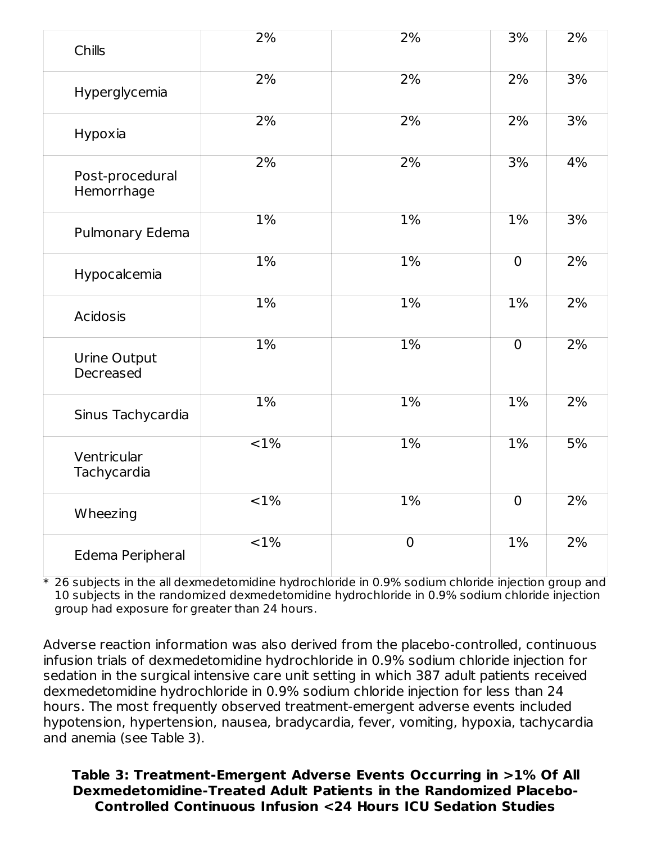| Chills                        | 2%                | 2%             | 3%             | 2% |
|-------------------------------|-------------------|----------------|----------------|----|
| Hyperglycemia                 | 2%                | 2%             | 2%             | 3% |
| Hypoxia                       | 2%                | 2%             | 2%             | 3% |
| Post-procedural<br>Hemorrhage | 2%                | 2%             | 3%             | 4% |
| Pulmonary Edema               | 1%                | 1%             | 1%             | 3% |
| Hypocalcemia                  | 1%                | 1%             | $\overline{0}$ | 2% |
| <b>Acidosis</b>               | 1%                | $1\%$          | $1\%$          | 2% |
| Urine Output<br>Decreased     | $1\%$             | 1%             | $\overline{0}$ | 2% |
| Sinus Tachycardia             | 1%                | 1%             | $1\%$          | 2% |
| Ventricular<br>Tachycardia    | $\overline{<}1\%$ | $1\%$          | $1\%$          | 5% |
| Wheezing                      | $\overline{<}1\%$ | 1%             | $\overline{0}$ | 2% |
| Edema Peripheral              | $\overline{<}1\%$ | $\overline{0}$ | $1\%$          | 2% |

 $\ast$  26 subjects in the all dexmedetomidine hydrochloride in 0.9% sodium chloride injection group and 10 subjects in the randomized dexmedetomidine hydrochloride in 0.9% sodium chloride injection group had exposure for greater than 24 hours.

Adverse reaction information was also derived from the placebo-controlled, continuous infusion trials of dexmedetomidine hydrochloride in 0.9% sodium chloride injection for sedation in the surgical intensive care unit setting in which 387 adult patients received dexmedetomidine hydrochloride in 0.9% sodium chloride injection for less than 24 hours. The most frequently observed treatment-emergent adverse events included hypotension, hypertension, nausea, bradycardia, fever, vomiting, hypoxia, tachycardia and anemia (see Table 3).

**Table 3: Treatment-Emergent Adverse Events Occurring in >1% Of All Dexmedetomidine-Treated Adult Patients in the Randomized Placebo-Controlled Continuous Infusion <24 Hours ICU Sedation Studies**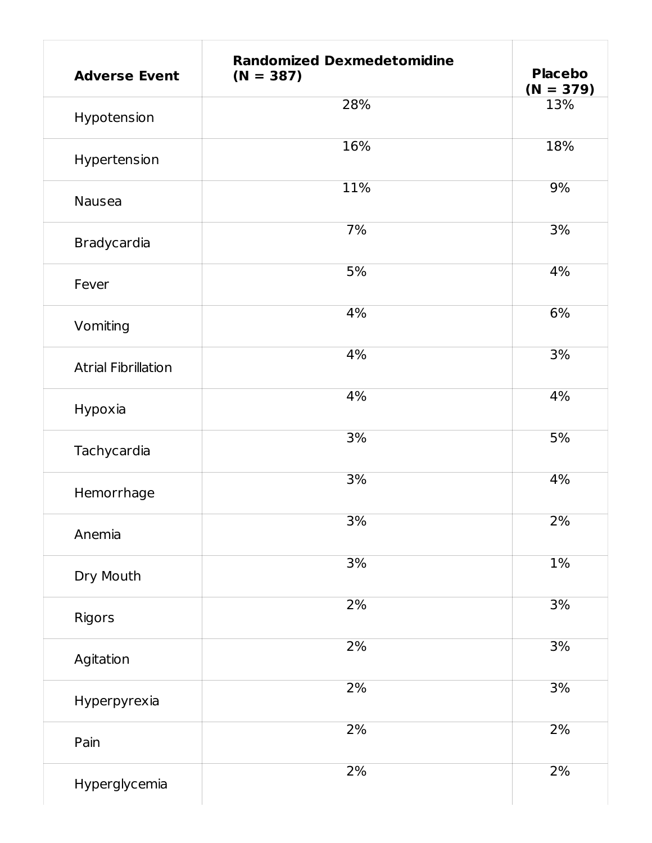| <b>Adverse Event</b>       | <b>Randomized Dexmedetomidine</b><br>$(N = 387)$ | <b>Placebo</b><br>$(N = 379)$ |
|----------------------------|--------------------------------------------------|-------------------------------|
| Hypotension                | 28%                                              | 13%                           |
| Hypertension               | 16%                                              | 18%                           |
| Nausea                     | 11%                                              | 9%                            |
| Bradycardia                | 7%                                               | 3%                            |
| Fever                      | 5%                                               | 4%                            |
| Vomiting                   | 4%                                               | 6%                            |
| <b>Atrial Fibrillation</b> | 4%                                               | 3%                            |
| Hypoxia                    | 4%                                               | 4%                            |
| Tachycardia                | 3%                                               | 5%                            |
| Hemorrhage                 | 3%                                               | 4%                            |
| Anemia                     | 3%                                               | 2%                            |
| Dry Mouth                  | 3%                                               | $1\%$                         |
| Rigors                     | 2%                                               | 3%                            |
| Agitation                  | 2%                                               | 3%                            |
| Hyperpyrexia               | 2%                                               | 3%                            |
| Pain                       | 2%                                               | 2%                            |
| Hyperglycemia              | 2%                                               | 2%                            |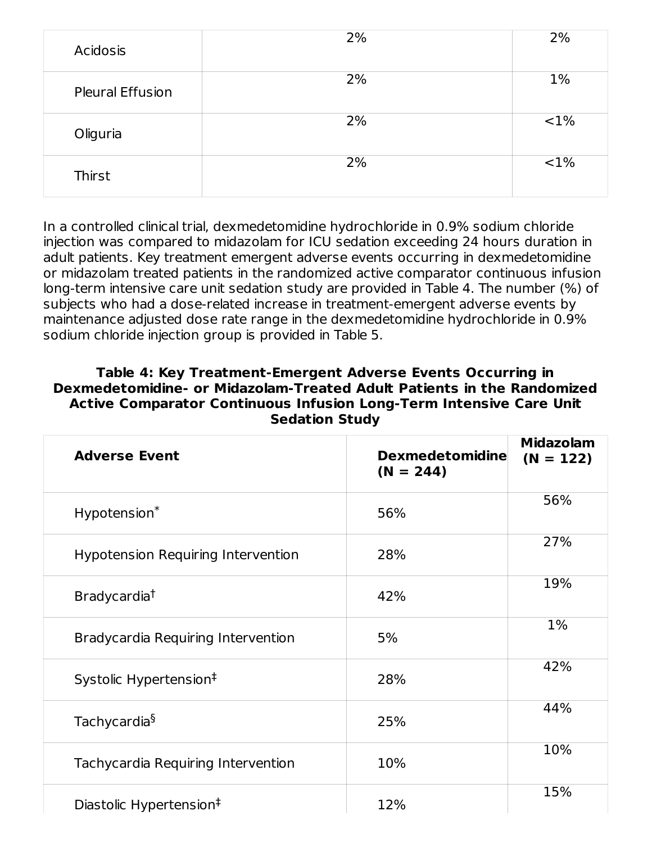| Acidosis                | 2% | 2%       |
|-------------------------|----|----------|
| <b>Pleural Effusion</b> | 2% | 1%       |
| Oliguria                | 2% | ${<}1\%$ |
| Thirst                  | 2% | $< 1\%$  |

In a controlled clinical trial, dexmedetomidine hydrochloride in 0.9% sodium chloride injection was compared to midazolam for ICU sedation exceeding 24 hours duration in adult patients. Key treatment emergent adverse events occurring in dexmedetomidine or midazolam treated patients in the randomized active comparator continuous infusion long-term intensive care unit sedation study are provided in Table 4. The number (%) of subjects who had a dose-related increase in treatment-emergent adverse events by maintenance adjusted dose rate range in the dexmedetomidine hydrochloride in 0.9% sodium chloride injection group is provided in Table 5.

#### **Table 4: Key Treatment-Emergent Adverse Events Occurring in Dexmedetomidine- or Midazolam-Treated Adult Patients in the Randomized Active Comparator Continuous Infusion Long-Term Intensive Care Unit Sedation Study**

| <b>Adverse Event</b>                      | <b>Dexmedetomidine</b><br>$(N = 244)$ | <b>Midazolam</b><br>$(N = 122)$ |
|-------------------------------------------|---------------------------------------|---------------------------------|
| Hypotension*                              | 56%                                   | 56%                             |
| <b>Hypotension Requiring Intervention</b> | 28%                                   | 27%                             |
| Bradycardia <sup>†</sup>                  | 42%                                   | 19%                             |
| Bradycardia Requiring Intervention        | 5%                                    | $1\%$                           |
| Systolic Hypertension <sup>‡</sup>        | 28%                                   | 42%                             |
| Tachycardia <sup>§</sup>                  | 25%                                   | 44%                             |
| Tachycardia Requiring Intervention        | 10%                                   | 10%                             |
| Diastolic Hypertension <sup>‡</sup>       | 12%                                   | 15%                             |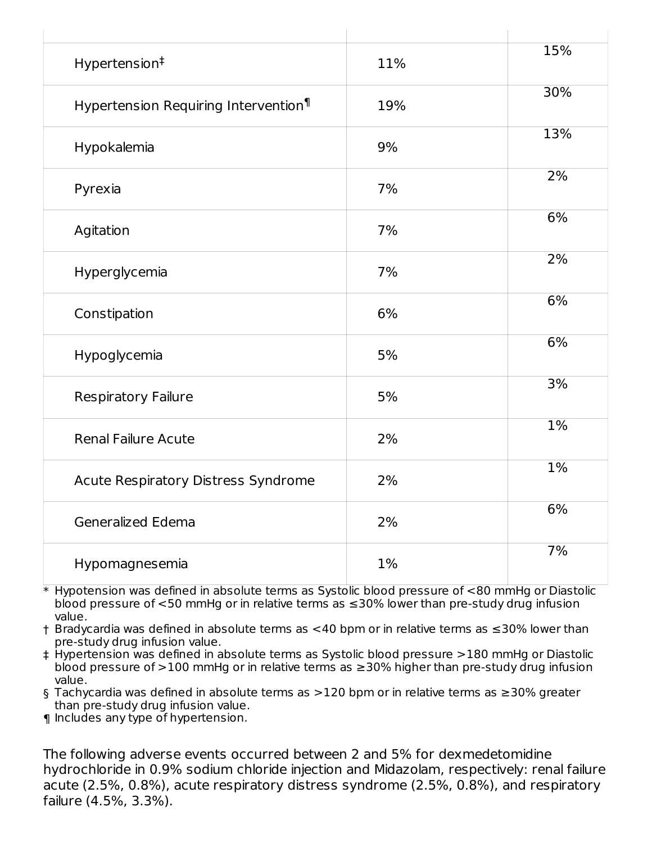| Hypertension <sup>#</sup>                        | 11% | 15%   |
|--------------------------------------------------|-----|-------|
| Hypertension Requiring Intervention <sup>1</sup> | 19% | 30%   |
| Hypokalemia                                      | 9%  | 13%   |
| Pyrexia                                          | 7%  | $2\%$ |
| Agitation                                        | 7%  | 6%    |
| Hyperglycemia                                    | 7%  | 2%    |
| Constipation                                     | 6%  | 6%    |
| Hypoglycemia                                     | 5%  | 6%    |
| Respiratory Failure                              | 5%  | 3%    |
| <b>Renal Failure Acute</b>                       | 2%  | $1\%$ |
| Acute Respiratory Distress Syndrome              | 2%  | $1\%$ |
| Generalized Edema                                | 2%  | 6%    |
| Hypomagnesemia                                   | 1%  | 7%    |

\* Hypotension was defined in absolute terms as Systolic blood pressure of <80 mmHg or Diastolic blood pressure of <50 mmHg or in relative terms as ≤30% lower than pre-study drug infusion value.

† Bradycardia was defined in absolute terms as <40 bpm or in relative terms as ≤30% lower than pre-study drug infusion value.

‡ Hypertension was defined in absolute terms as Systolic blood pressure >180 mmHg or Diastolic blood pressure of >100 mmHg or in relative terms as ≥30% higher than pre-study drug infusion value.

§ Tachycardia was defined in absolute terms as >120 bpm or in relative terms as ≥30% greater than pre-study drug infusion value.

¶ Includes any type of hypertension.

The following adverse events occurred between 2 and 5% for dexmedetomidine hydrochloride in 0.9% sodium chloride injection and Midazolam, respectively: renal failure acute (2.5%, 0.8%), acute respiratory distress syndrome (2.5%, 0.8%), and respiratory failure (4.5%, 3.3%).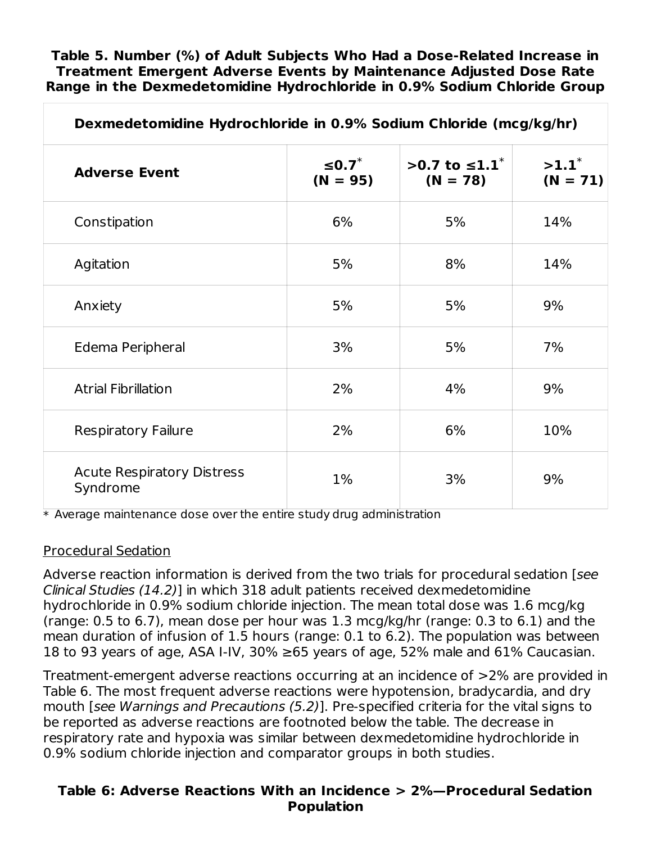**Table 5. Number (%) of Adult Subjects Who Had a Dose-Related Increase in Treatment Emergent Adverse Events by Maintenance Adjusted Dose Rate Range in the Dexmedetomidine Hydrochloride in 0.9% Sodium Chloride Group**

| Dexmedetomidine Hydrochloride in 0.9% Sodium Chloride (mcg/kg/hr) |                              |                                         |                        |
|-------------------------------------------------------------------|------------------------------|-----------------------------------------|------------------------|
| <b>Adverse Event</b>                                              | $\leq$ 0.7 $*$<br>$(N = 95)$ | >0.7 to ≤1.1 <sup>*</sup><br>$(N = 78)$ | $>1.1^*$<br>$(N = 71)$ |
| Constipation                                                      | 6%                           | 5%                                      | 14%                    |
| Agitation                                                         | 5%                           | 8%                                      | 14%                    |
| Anxiety                                                           | 5%                           | 5%                                      | 9%                     |
| Edema Peripheral                                                  | 3%                           | 5%                                      | 7%                     |
| <b>Atrial Fibrillation</b>                                        | 2%                           | 4%                                      | 9%                     |
| <b>Respiratory Failure</b>                                        | 2%                           | 6%                                      | 10%                    |
| <b>Acute Respiratory Distress</b><br>Syndrome                     | $1\%$                        | 3%                                      | 9%                     |

 $\,^*$  Average maintenance dose over the entire study drug administration

#### Procedural Sedation

Adverse reaction information is derived from the two trials for procedural sedation [see Clinical Studies (14.2)] in which 318 adult patients received dexmedetomidine hydrochloride in 0.9% sodium chloride injection. The mean total dose was 1.6 mcg/kg (range: 0.5 to 6.7), mean dose per hour was 1.3 mcg/kg/hr (range: 0.3 to 6.1) and the mean duration of infusion of 1.5 hours (range: 0.1 to 6.2). The population was between 18 to 93 years of age, ASA I-IV, 30%  $\geq$ 65 years of age, 52% male and 61% Caucasian.

Treatment-emergent adverse reactions occurring at an incidence of >2% are provided in Table 6. The most frequent adverse reactions were hypotension, bradycardia, and dry mouth [see Warnings and Precautions (5.2)]. Pre-specified criteria for the vital signs to be reported as adverse reactions are footnoted below the table. The decrease in respiratory rate and hypoxia was similar between dexmedetomidine hydrochloride in 0.9% sodium chloride injection and comparator groups in both studies.

#### **Table 6: Adverse Reactions With an Incidence > 2%—Procedural Sedation Population**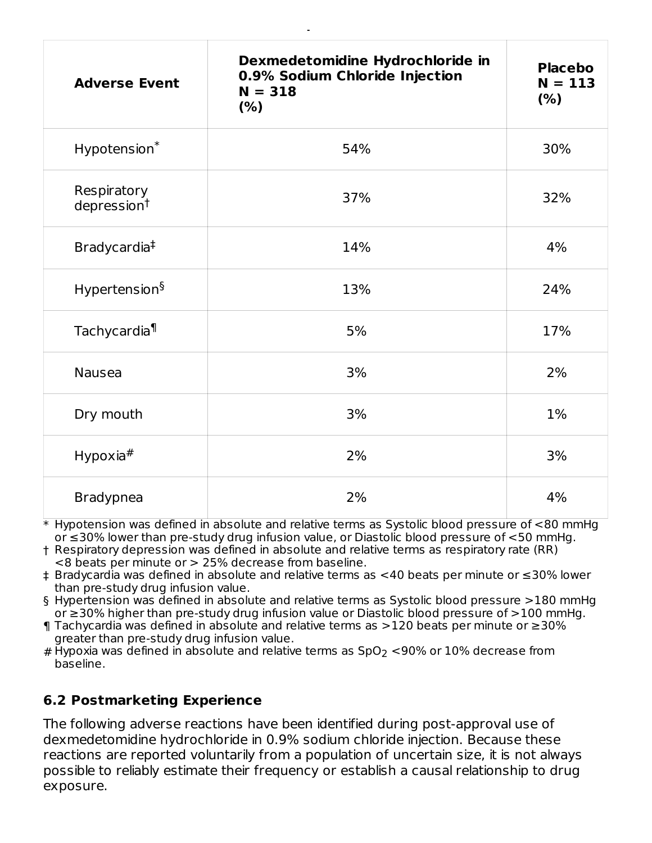| <b>Adverse Event</b>                   | Dexmedetomidine Hydrochloride in<br>0.9% Sodium Chloride Injection<br>$N = 318$<br>(% ) | <b>Placebo</b><br>$N = 113$<br>(%) |
|----------------------------------------|-----------------------------------------------------------------------------------------|------------------------------------|
| Hypotension*                           | 54%                                                                                     | 30%                                |
| Respiratory<br>depression <sup>†</sup> | 37%                                                                                     | 32%                                |
| Bradycardia <sup>‡</sup>               | 14%                                                                                     | 4%                                 |
| Hypertension <sup>§</sup>              | 13%                                                                                     | 24%                                |
| Tachycardia <sup>1</sup>               | 5%                                                                                      | 17%                                |
| <b>Nausea</b>                          | 3%                                                                                      | 2%                                 |
| Dry mouth                              | 3%                                                                                      | $1\%$                              |
| Hypoxia $#$                            | 2%                                                                                      | 3%                                 |
| <b>Bradypnea</b>                       | 2%                                                                                      | 4%                                 |

**Population**

 $\ast$  Hypotension was defined in absolute and relative terms as Systolic blood pressure of  ${<}80$  mmHg or ≤30% lower than pre-study drug infusion value, or Diastolic blood pressure of <50 mmHg.

† Respiratory depression was defined in absolute and relative terms as respiratory rate (RR) <8 beats per minute or > 25% decrease from baseline.

- ‡ Bradycardia was defined in absolute and relative terms as <40 beats per minute or ≤30% lower than pre-study drug infusion value.
- § Hypertension was defined in absolute and relative terms as Systolic blood pressure >180 mmHg or ≥30% higher than pre-study drug infusion value or Diastolic blood pressure of >100 mmHg.
- ¶ Tachycardia was defined in absolute and relative terms as >120 beats per minute or ≥30% greater than pre-study drug infusion value.
- # Hypoxia was defined in absolute and relative terms as SpO $_2$  <90% or 10% decrease from baseline.

# **6.2 Postmarketing Experience**

The following adverse reactions have been identified during post-approval use of dexmedetomidine hydrochloride in 0.9% sodium chloride injection. Because these reactions are reported voluntarily from a population of uncertain size, it is not always possible to reliably estimate their frequency or establish a causal relationship to drug exposure.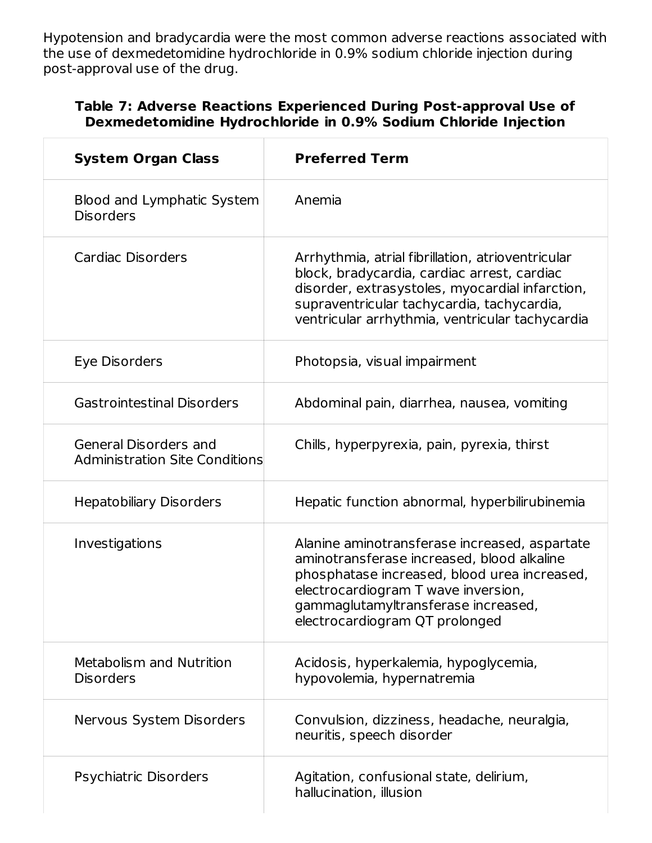Hypotension and bradycardia were the most common adverse reactions associated with the use of dexmedetomidine hydrochloride in 0.9% sodium chloride injection during post-approval use of the drug.

### **Table 7: Adverse Reactions Experienced During Post-approval Use of Dexmedetomidine Hydrochloride in 0.9% Sodium Chloride Injection**

| <b>System Organ Class</b>                                      | <b>Preferred Term</b>                                                                                                                                                                                                                                       |
|----------------------------------------------------------------|-------------------------------------------------------------------------------------------------------------------------------------------------------------------------------------------------------------------------------------------------------------|
| Blood and Lymphatic System<br><b>Disorders</b>                 | Anemia                                                                                                                                                                                                                                                      |
| Cardiac Disorders                                              | Arrhythmia, atrial fibrillation, atrioventricular<br>block, bradycardia, cardiac arrest, cardiac<br>disorder, extrasystoles, myocardial infarction,<br>supraventricular tachycardia, tachycardia,<br>ventricular arrhythmia, ventricular tachycardia        |
| Eye Disorders                                                  | Photopsia, visual impairment                                                                                                                                                                                                                                |
| <b>Gastrointestinal Disorders</b>                              | Abdominal pain, diarrhea, nausea, vomiting                                                                                                                                                                                                                  |
| General Disorders and<br><b>Administration Site Conditions</b> | Chills, hyperpyrexia, pain, pyrexia, thirst                                                                                                                                                                                                                 |
| <b>Hepatobiliary Disorders</b>                                 | Hepatic function abnormal, hyperbilirubinemia                                                                                                                                                                                                               |
| Investigations                                                 | Alanine aminotransferase increased, aspartate<br>aminotransferase increased, blood alkaline<br>phosphatase increased, blood urea increased,<br>electrocardiogram T wave inversion,<br>gammaglutamyltransferase increased,<br>electrocardiogram QT prolonged |
| Metabolism and Nutrition<br><b>Disorders</b>                   | Acidosis, hyperkalemia, hypoglycemia,<br>hypovolemia, hypernatremia                                                                                                                                                                                         |
| Nervous System Disorders                                       | Convulsion, dizziness, headache, neuralgia,<br>neuritis, speech disorder                                                                                                                                                                                    |
| Psychiatric Disorders                                          | Agitation, confusional state, delirium,<br>hallucination, illusion                                                                                                                                                                                          |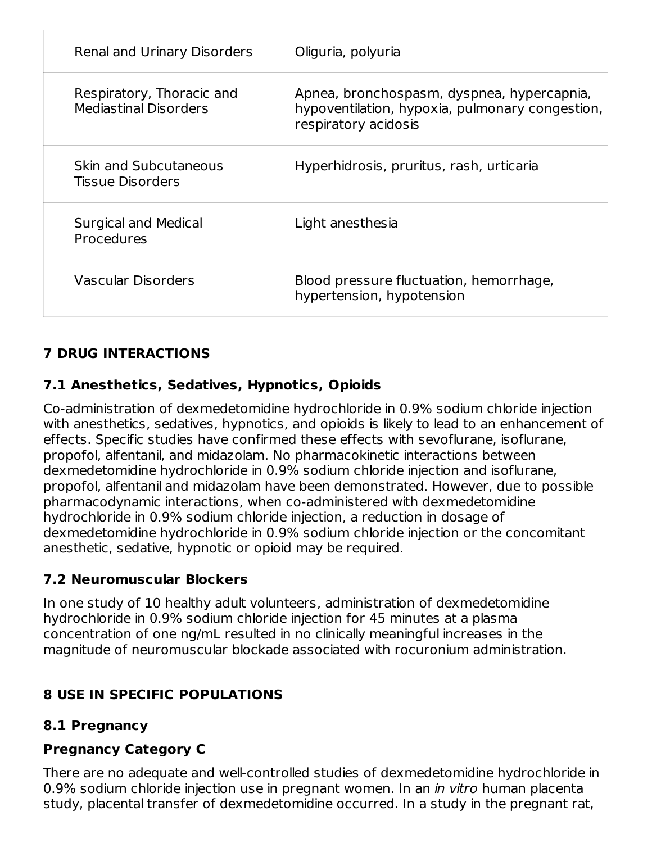| Renal and Urinary Disorders                               | Oliguria, polyuria                                                                                                    |
|-----------------------------------------------------------|-----------------------------------------------------------------------------------------------------------------------|
| Respiratory, Thoracic and<br><b>Mediastinal Disorders</b> | Apnea, bronchospasm, dyspnea, hypercapnia,<br>hypoventilation, hypoxia, pulmonary congestion,<br>respiratory acidosis |
| Skin and Subcutaneous<br><b>Tissue Disorders</b>          | Hyperhidrosis, pruritus, rash, urticaria                                                                              |
| Surgical and Medical<br>Procedures                        | Light anesthesia                                                                                                      |
| Vascular Disorders                                        | Blood pressure fluctuation, hemorrhage,<br>hypertension, hypotension                                                  |

# **7 DRUG INTERACTIONS**

# **7.1 Anesthetics, Sedatives, Hypnotics, Opioids**

Co-administration of dexmedetomidine hydrochloride in 0.9% sodium chloride injection with anesthetics, sedatives, hypnotics, and opioids is likely to lead to an enhancement of effects. Specific studies have confirmed these effects with sevoflurane, isoflurane, propofol, alfentanil, and midazolam. No pharmacokinetic interactions between dexmedetomidine hydrochloride in 0.9% sodium chloride injection and isoflurane, propofol, alfentanil and midazolam have been demonstrated. However, due to possible pharmacodynamic interactions, when co-administered with dexmedetomidine hydrochloride in 0.9% sodium chloride injection, a reduction in dosage of dexmedetomidine hydrochloride in 0.9% sodium chloride injection or the concomitant anesthetic, sedative, hypnotic or opioid may be required.

## **7.2 Neuromuscular Blockers**

In one study of 10 healthy adult volunteers, administration of dexmedetomidine hydrochloride in 0.9% sodium chloride injection for 45 minutes at a plasma concentration of one ng/mL resulted in no clinically meaningful increases in the magnitude of neuromuscular blockade associated with rocuronium administration.

## **8 USE IN SPECIFIC POPULATIONS**

## **8.1 Pregnancy**

## **Pregnancy Category C**

There are no adequate and well-controlled studies of dexmedetomidine hydrochloride in 0.9% sodium chloride injection use in pregnant women. In an *in vitro* human placenta study, placental transfer of dexmedetomidine occurred. In a study in the pregnant rat,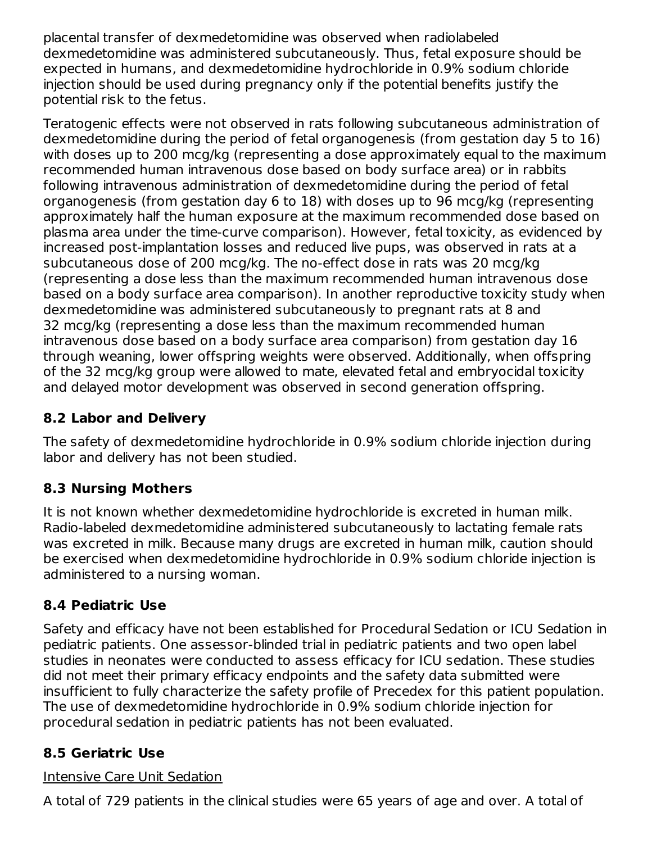placental transfer of dexmedetomidine was observed when radiolabeled dexmedetomidine was administered subcutaneously. Thus, fetal exposure should be expected in humans, and dexmedetomidine hydrochloride in 0.9% sodium chloride injection should be used during pregnancy only if the potential benefits justify the potential risk to the fetus.

Teratogenic effects were not observed in rats following subcutaneous administration of dexmedetomidine during the period of fetal organogenesis (from gestation day 5 to 16) with doses up to 200 mcg/kg (representing a dose approximately equal to the maximum recommended human intravenous dose based on body surface area) or in rabbits following intravenous administration of dexmedetomidine during the period of fetal organogenesis (from gestation day 6 to 18) with doses up to 96 mcg/kg (representing approximately half the human exposure at the maximum recommended dose based on plasma area under the time-curve comparison). However, fetal toxicity, as evidenced by increased post-implantation losses and reduced live pups, was observed in rats at a subcutaneous dose of 200 mcg/kg. The no-effect dose in rats was 20 mcg/kg (representing a dose less than the maximum recommended human intravenous dose based on a body surface area comparison). In another reproductive toxicity study when dexmedetomidine was administered subcutaneously to pregnant rats at 8 and 32 mcg/kg (representing a dose less than the maximum recommended human intravenous dose based on a body surface area comparison) from gestation day 16 through weaning, lower offspring weights were observed. Additionally, when offspring of the 32 mcg/kg group were allowed to mate, elevated fetal and embryocidal toxicity and delayed motor development was observed in second generation offspring.

# **8.2 Labor and Delivery**

The safety of dexmedetomidine hydrochloride in 0.9% sodium chloride injection during labor and delivery has not been studied.

## **8.3 Nursing Mothers**

It is not known whether dexmedetomidine hydrochloride is excreted in human milk. Radio-labeled dexmedetomidine administered subcutaneously to lactating female rats was excreted in milk. Because many drugs are excreted in human milk, caution should be exercised when dexmedetomidine hydrochloride in 0.9% sodium chloride injection is administered to a nursing woman.

## **8.4 Pediatric Use**

Safety and efficacy have not been established for Procedural Sedation or ICU Sedation in pediatric patients. One assessor-blinded trial in pediatric patients and two open label studies in neonates were conducted to assess efficacy for ICU sedation. These studies did not meet their primary efficacy endpoints and the safety data submitted were insufficient to fully characterize the safety profile of Precedex for this patient population. The use of dexmedetomidine hydrochloride in 0.9% sodium chloride injection for procedural sedation in pediatric patients has not been evaluated.

## **8.5 Geriatric Use**

## Intensive Care Unit Sedation

A total of 729 patients in the clinical studies were 65 years of age and over. A total of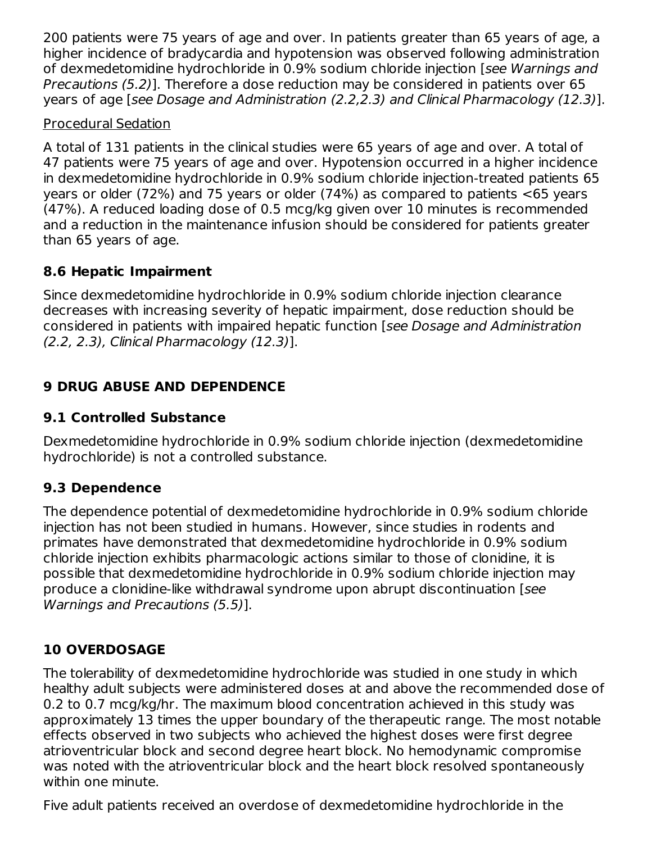200 patients were 75 years of age and over. In patients greater than 65 years of age, a higher incidence of bradycardia and hypotension was observed following administration of dexmedetomidine hydrochloride in 0.9% sodium chloride injection [see Warnings and Precautions (5.2)]. Therefore a dose reduction may be considered in patients over 65 years of age [see Dosage and Administration (2.2,2.3) and Clinical Pharmacology (12.3)].

## Procedural Sedation

A total of 131 patients in the clinical studies were 65 years of age and over. A total of 47 patients were 75 years of age and over. Hypotension occurred in a higher incidence in dexmedetomidine hydrochloride in 0.9% sodium chloride injection-treated patients 65 years or older (72%) and 75 years or older (74%) as compared to patients <65 years (47%). A reduced loading dose of 0.5 mcg/kg given over 10 minutes is recommended and a reduction in the maintenance infusion should be considered for patients greater than 65 years of age.

## **8.6 Hepatic Impairment**

Since dexmedetomidine hydrochloride in 0.9% sodium chloride injection clearance decreases with increasing severity of hepatic impairment, dose reduction should be considered in patients with impaired hepatic function [see Dosage and Administration (2.2, 2.3), Clinical Pharmacology (12.3)].

# **9 DRUG ABUSE AND DEPENDENCE**

# **9.1 Controlled Substance**

Dexmedetomidine hydrochloride in 0.9% sodium chloride injection (dexmedetomidine hydrochloride) is not a controlled substance.

# **9.3 Dependence**

The dependence potential of dexmedetomidine hydrochloride in 0.9% sodium chloride injection has not been studied in humans. However, since studies in rodents and primates have demonstrated that dexmedetomidine hydrochloride in 0.9% sodium chloride injection exhibits pharmacologic actions similar to those of clonidine, it is possible that dexmedetomidine hydrochloride in 0.9% sodium chloride injection may produce a clonidine-like withdrawal syndrome upon abrupt discontinuation [see Warnings and Precautions (5.5)].

# **10 OVERDOSAGE**

The tolerability of dexmedetomidine hydrochloride was studied in one study in which healthy adult subjects were administered doses at and above the recommended dose of 0.2 to 0.7 mcg/kg/hr. The maximum blood concentration achieved in this study was approximately 13 times the upper boundary of the therapeutic range. The most notable effects observed in two subjects who achieved the highest doses were first degree atrioventricular block and second degree heart block. No hemodynamic compromise was noted with the atrioventricular block and the heart block resolved spontaneously within one minute.

Five adult patients received an overdose of dexmedetomidine hydrochloride in the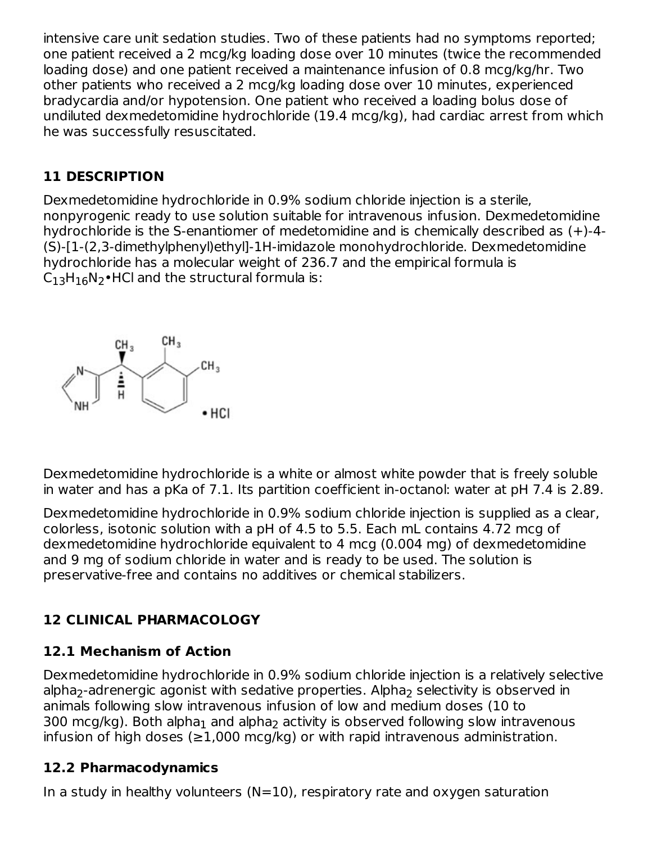intensive care unit sedation studies. Two of these patients had no symptoms reported; one patient received a 2 mcg/kg loading dose over 10 minutes (twice the recommended loading dose) and one patient received a maintenance infusion of 0.8 mcg/kg/hr. Two other patients who received a 2 mcg/kg loading dose over 10 minutes, experienced bradycardia and/or hypotension. One patient who received a loading bolus dose of undiluted dexmedetomidine hydrochloride (19.4 mcg/kg), had cardiac arrest from which he was successfully resuscitated.

## **11 DESCRIPTION**

Dexmedetomidine hydrochloride in 0.9% sodium chloride injection is a sterile, nonpyrogenic ready to use solution suitable for intravenous infusion. Dexmedetomidine hydrochloride is the S-enantiomer of medetomidine and is chemically described as  $(+)$ -4-(S)-[1-(2,3-dimethylphenyl)ethyl]-1H-imidazole monohydrochloride. Dexmedetomidine hydrochloride has a molecular weight of 236.7 and the empirical formula is  $\mathsf{C}_{13}\mathsf{H}_{16}\mathsf{N}_2\bullet$ HCl and the structural formula is:



Dexmedetomidine hydrochloride is a white or almost white powder that is freely soluble in water and has a pKa of 7.1. Its partition coefficient in-octanol: water at pH 7.4 is 2.89.

Dexmedetomidine hydrochloride in 0.9% sodium chloride injection is supplied as a clear, colorless, isotonic solution with a pH of 4.5 to 5.5. Each mL contains 4.72 mcg of dexmedetomidine hydrochloride equivalent to 4 mcg (0.004 mg) of dexmedetomidine and 9 mg of sodium chloride in water and is ready to be used. The solution is preservative-free and contains no additives or chemical stabilizers.

# **12 CLINICAL PHARMACOLOGY**

# **12.1 Mechanism of Action**

Dexmedetomidine hydrochloride in 0.9% sodium chloride injection is a relatively selective alpha<sub>2</sub>-adrenergic agonist with sedative properties. Alpha<sub>2</sub> selectivity is observed in animals following slow intravenous infusion of low and medium doses (10 to 300 mcg/kg). Both alpha $_{\rm 1}$  and alpha $_{\rm 2}$  activity is observed following slow intravenous infusion of high doses ( $\geq$ 1,000 mcg/kg) or with rapid intravenous administration.

## **12.2 Pharmacodynamics**

In a study in healthy volunteers  $(N=10)$ , respiratory rate and oxygen saturation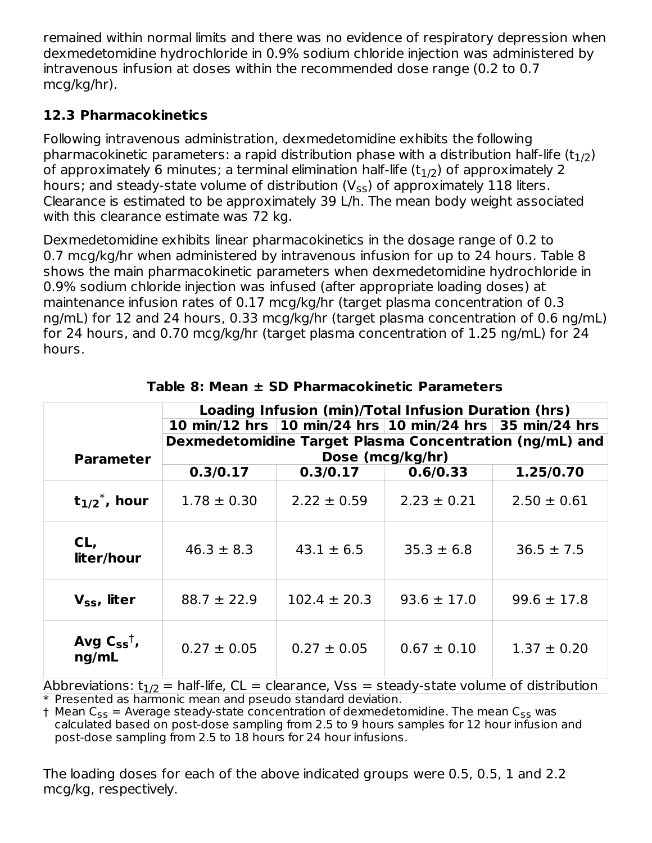remained within normal limits and there was no evidence of respiratory depression when dexmedetomidine hydrochloride in 0.9% sodium chloride injection was administered by intravenous infusion at doses within the recommended dose range (0.2 to 0.7 mcg/kg/hr).

# **12.3 Pharmacokinetics**

Following intravenous administration, dexmedetomidine exhibits the following pharmacokinetic parameters: a rapid distribution phase with a distribution half-life (t $_{\rm 1/2})$ of approximately 6 minutes; a terminal elimination half-life (t $_{\rm 1/2})$  of approximately 2 hours; and steady-state volume of distribution (V $_{\rm ss}$ ) of approximately 118 liters. Clearance is estimated to be approximately 39 L/h. The mean body weight associated with this clearance estimate was 72 kg.

Dexmedetomidine exhibits linear pharmacokinetics in the dosage range of 0.2 to 0.7 mcg/kg/hr when administered by intravenous infusion for up to 24 hours. Table 8 shows the main pharmacokinetic parameters when dexmedetomidine hydrochloride in 0.9% sodium chloride injection was infused (after appropriate loading doses) at maintenance infusion rates of 0.17 mcg/kg/hr (target plasma concentration of 0.3 ng/mL) for 12 and 24 hours, 0.33 mcg/kg/hr (target plasma concentration of 0.6 ng/mL) for 24 hours, and 0.70 mcg/kg/hr (target plasma concentration of 1.25 ng/mL) for 24 hours.

|                                                                                            | Loading Infusion (min)/Total Infusion Duration (hrs) |                                                               |                                                                          |                 |  |  |  |  |  |
|--------------------------------------------------------------------------------------------|------------------------------------------------------|---------------------------------------------------------------|--------------------------------------------------------------------------|-----------------|--|--|--|--|--|
|                                                                                            |                                                      | 10 min/12 hrs   10 min/24 hrs   10 min/24 hrs   35 min/24 hrs |                                                                          |                 |  |  |  |  |  |
|                                                                                            |                                                      | Dexmedetomidine Target Plasma Concentration (ng/mL) and       |                                                                          |                 |  |  |  |  |  |
| <b>Parameter</b>                                                                           |                                                      |                                                               | Dose (mcg/kg/hr)                                                         |                 |  |  |  |  |  |
|                                                                                            | 0.3/0.17                                             | 0.3/0.17                                                      | 0.6/0.33                                                                 | 1.25/0.70       |  |  |  |  |  |
| $t_{1/2}$ , hour                                                                           | $1.78 \pm 0.30$                                      | $2.22 \pm 0.59$                                               | $2.23 \pm 0.21$                                                          | $2.50 \pm 0.61$ |  |  |  |  |  |
| CL,<br>liter/hour                                                                          | $46.3 \pm 8.3$                                       | $43.1 \pm 6.5$                                                | $35.3 \pm 6.8$                                                           | $36.5 \pm 7.5$  |  |  |  |  |  |
| $V_{ss}$ , liter                                                                           | $88.7 \pm 22.9$                                      | $102.4 \pm 20.3$                                              | $93.6 \pm 17.0$                                                          | $99.6 \pm 17.8$ |  |  |  |  |  |
| Avg $C_{ss}^{\dagger}$ ,<br>ng/mL<br>A de la caracción del arrangemento de la $\mathbf{E}$ | $0.27 \pm 0.05$<br>$L = 10 \, \text{Hz}$ $\sim 0.1$  | $0.27 \pm 0.05$<br>المتماليل المتمام والمستحدث والمراجع       | $0.67 \pm 0.10$<br>وبالمقاط والمتلوط المتلقي والمتحدد والمتابع والمتحالف | $1.37 \pm 0.20$ |  |  |  |  |  |

\* Presented as harmonic mean and pseudo standard deviation. Abbreviations:  $t_{1/2}$  = half-life, CL = clearance, Vss = steady-state volume of distribution

† Mean C<sub>ss</sub> = Average steady-state concentration of dexmedetomidine. The mean C<sub>ss</sub> was calculated based on post-dose sampling from 2.5 to 9 hours samples for 12 hour infusion and post-dose sampling from 2.5 to 18 hours for 24 hour infusions.

The loading doses for each of the above indicated groups were 0.5, 0.5, 1 and 2.2 mcg/kg, respectively.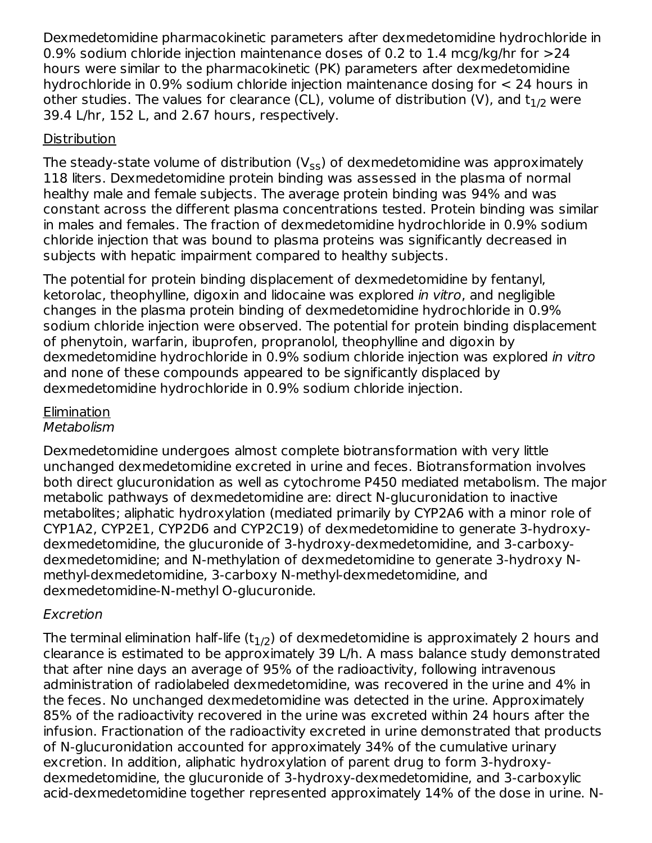Dexmedetomidine pharmacokinetic parameters after dexmedetomidine hydrochloride in 0.9% sodium chloride injection maintenance doses of 0.2 to 1.4 mcg/kg/hr for >24 hours were similar to the pharmacokinetic (PK) parameters after dexmedetomidine hydrochloride in 0.9% sodium chloride injection maintenance dosing for < 24 hours in other studies. The values for clearance (CL), volume of distribution (V), and  ${\sf t}_{\rm 1/2}$  were 39.4 L/hr, 152 L, and 2.67 hours, respectively.

## **Distribution**

The steady-state volume of distribution (V<sub>ss</sub>) of dexmedetomidine was approximately 118 liters. Dexmedetomidine protein binding was assessed in the plasma of normal healthy male and female subjects. The average protein binding was 94% and was constant across the different plasma concentrations tested. Protein binding was similar in males and females. The fraction of dexmedetomidine hydrochloride in 0.9% sodium chloride injection that was bound to plasma proteins was significantly decreased in subjects with hepatic impairment compared to healthy subjects.

The potential for protein binding displacement of dexmedetomidine by fentanyl, ketorolac, theophylline, digoxin and lidocaine was explored in vitro, and negligible changes in the plasma protein binding of dexmedetomidine hydrochloride in 0.9% sodium chloride injection were observed. The potential for protein binding displacement of phenytoin, warfarin, ibuprofen, propranolol, theophylline and digoxin by dexmedetomidine hydrochloride in 0.9% sodium chloride injection was explored in vitro and none of these compounds appeared to be significantly displaced by dexmedetomidine hydrochloride in 0.9% sodium chloride injection.

#### Elimination **Metabolism**

Dexmedetomidine undergoes almost complete biotransformation with very little unchanged dexmedetomidine excreted in urine and feces. Biotransformation involves both direct glucuronidation as well as cytochrome P450 mediated metabolism. The major metabolic pathways of dexmedetomidine are: direct N-glucuronidation to inactive metabolites; aliphatic hydroxylation (mediated primarily by CYP2A6 with a minor role of CYP1A2, CYP2E1, CYP2D6 and CYP2C19) of dexmedetomidine to generate 3-hydroxydexmedetomidine, the glucuronide of 3-hydroxy‑dexmedetomidine, and 3-carboxydexmedetomidine; and N‑methylation of dexmedetomidine to generate 3-hydroxy Nmethyl-dexmedetomidine, 3‑carboxy N-methyl-dexmedetomidine, and dexmedetomidine-N‑methyl O-glucuronide.

# Excretion

The terminal elimination half-life (t $_{\rm 1/2}$ ) of dexmedetomidine is approximately 2 hours and clearance is estimated to be approximately 39 L/h. A mass balance study demonstrated that after nine days an average of 95% of the radioactivity, following intravenous administration of radiolabeled dexmedetomidine, was recovered in the urine and 4% in the feces. No unchanged dexmedetomidine was detected in the urine. Approximately 85% of the radioactivity recovered in the urine was excreted within 24 hours after the infusion. Fractionation of the radioactivity excreted in urine demonstrated that products of N-glucuronidation accounted for approximately 34% of the cumulative urinary excretion. In addition, aliphatic hydroxylation of parent drug to form 3-hydroxydexmedetomidine, the glucuronide of 3‑hydroxy-dexmedetomidine, and 3‑carboxylic acid-dexmedetomidine together represented approximately 14% of the dose in urine. N-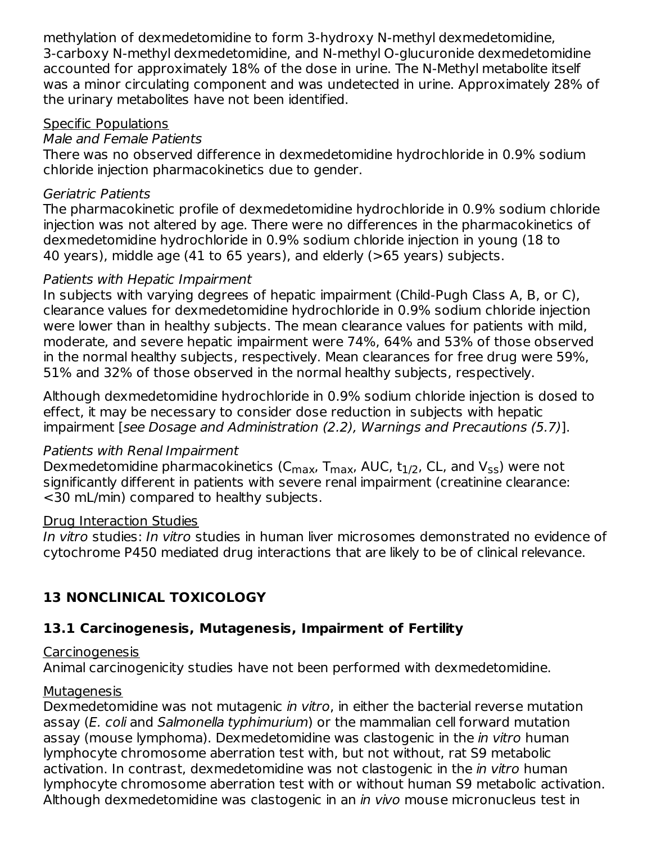methylation of dexmedetomidine to form 3-hydroxy N-methyl dexmedetomidine, 3‑carboxy N‑methyl dexmedetomidine, and N-methyl O-glucuronide dexmedetomidine accounted for approximately 18% of the dose in urine. The N-Methyl metabolite itself was a minor circulating component and was undetected in urine. Approximately 28% of the urinary metabolites have not been identified.

### Specific Populations

#### Male and Female Patients

There was no observed difference in dexmedetomidine hydrochloride in 0.9% sodium chloride injection pharmacokinetics due to gender.

#### Geriatric Patients

The pharmacokinetic profile of dexmedetomidine hydrochloride in 0.9% sodium chloride injection was not altered by age. There were no differences in the pharmacokinetics of dexmedetomidine hydrochloride in 0.9% sodium chloride injection in young (18 to 40 years), middle age (41 to 65 years), and elderly (>65 years) subjects.

#### Patients with Hepatic Impairment

In subjects with varying degrees of hepatic impairment (Child-Pugh Class A, B, or C), clearance values for dexmedetomidine hydrochloride in 0.9% sodium chloride injection were lower than in healthy subjects. The mean clearance values for patients with mild, moderate, and severe hepatic impairment were 74%, 64% and 53% of those observed in the normal healthy subjects, respectively. Mean clearances for free drug were 59%, 51% and 32% of those observed in the normal healthy subjects, respectively.

Although dexmedetomidine hydrochloride in 0.9% sodium chloride injection is dosed to effect, it may be necessary to consider dose reduction in subjects with hepatic impairment [see Dosage and Administration (2.2), Warnings and Precautions (5.7)].

### Patients with Renal Impairment

Dexmedetomidine pharmacokinetics (C<sub>max</sub>, T<sub>max</sub>, AUC, t $_{1/2}$ , CL, and V<sub>ss</sub>) were not significantly different in patients with severe renal impairment (creatinine clearance: <30 mL/min) compared to healthy subjects.

#### Drug Interaction Studies

In vitro studies: In vitro studies in human liver microsomes demonstrated no evidence of cytochrome P450 mediated drug interactions that are likely to be of clinical relevance.

# **13 NONCLINICAL TOXICOLOGY**

# **13.1 Carcinogenesis, Mutagenesis, Impairment of Fertility**

## Carcinogenesis

Animal carcinogenicity studies have not been performed with dexmedetomidine.

## Mutagenesis

Dexmedetomidine was not mutagenic in vitro, in either the bacterial reverse mutation assay (E. coli and Salmonella typhimurium) or the mammalian cell forward mutation assay (mouse lymphoma). Dexmedetomidine was clastogenic in the in vitro human lymphocyte chromosome aberration test with, but not without, rat S9 metabolic activation. In contrast, dexmedetomidine was not clastogenic in the *in vitro* human lymphocyte chromosome aberration test with or without human S9 metabolic activation. Although dexmedetomidine was clastogenic in an *in vivo* mouse micronucleus test in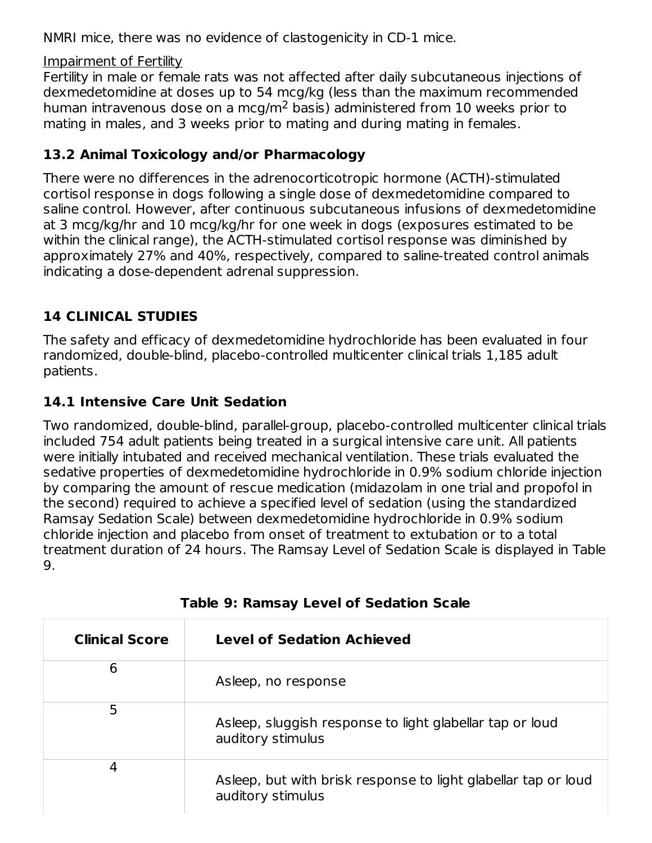NMRI mice, there was no evidence of clastogenicity in CD-1 mice.

Impairment of Fertility

Fertility in male or female rats was not affected after daily subcutaneous injections of dexmedetomidine at doses up to 54 mcg/kg (less than the maximum recommended human intravenous dose on a mcg/m<sup>2</sup> basis) administered from 10 weeks prior to mating in males, and 3 weeks prior to mating and during mating in females.

# **13.2 Animal Toxicology and/or Pharmacology**

There were no differences in the adrenocorticotropic hormone (ACTH)-stimulated cortisol response in dogs following a single dose of dexmedetomidine compared to saline control. However, after continuous subcutaneous infusions of dexmedetomidine at 3 mcg/kg/hr and 10 mcg/kg/hr for one week in dogs (exposures estimated to be within the clinical range), the ACTH-stimulated cortisol response was diminished by approximately 27% and 40%, respectively, compared to saline-treated control animals indicating a dose-dependent adrenal suppression.

# **14 CLINICAL STUDIES**

The safety and efficacy of dexmedetomidine hydrochloride has been evaluated in four randomized, double-blind, placebo-controlled multicenter clinical trials 1,185 adult patients.

# **14.1 Intensive Care Unit Sedation**

Two randomized, double-blind, parallel-group, placebo-controlled multicenter clinical trials included 754 adult patients being treated in a surgical intensive care unit. All patients were initially intubated and received mechanical ventilation. These trials evaluated the sedative properties of dexmedetomidine hydrochloride in 0.9% sodium chloride injection by comparing the amount of rescue medication (midazolam in one trial and propofol in the second) required to achieve a specified level of sedation (using the standardized Ramsay Sedation Scale) between dexmedetomidine hydrochloride in 0.9% sodium chloride injection and placebo from onset of treatment to extubation or to a total treatment duration of 24 hours. The Ramsay Level of Sedation Scale is displayed in Table 9.

| <b>Clinical Score</b> | <b>Level of Sedation Achieved</b>                                                   |
|-----------------------|-------------------------------------------------------------------------------------|
| 6                     | Asleep, no response                                                                 |
| 5                     | Asleep, sluggish response to light glabellar tap or loud<br>auditory stimulus       |
| 4                     | Asleep, but with brisk response to light glabellar tap or loud<br>auditory stimulus |

|  |  |  |  |  | <b>Table 9: Ramsay Level of Sedation Scale</b> |  |
|--|--|--|--|--|------------------------------------------------|--|
|--|--|--|--|--|------------------------------------------------|--|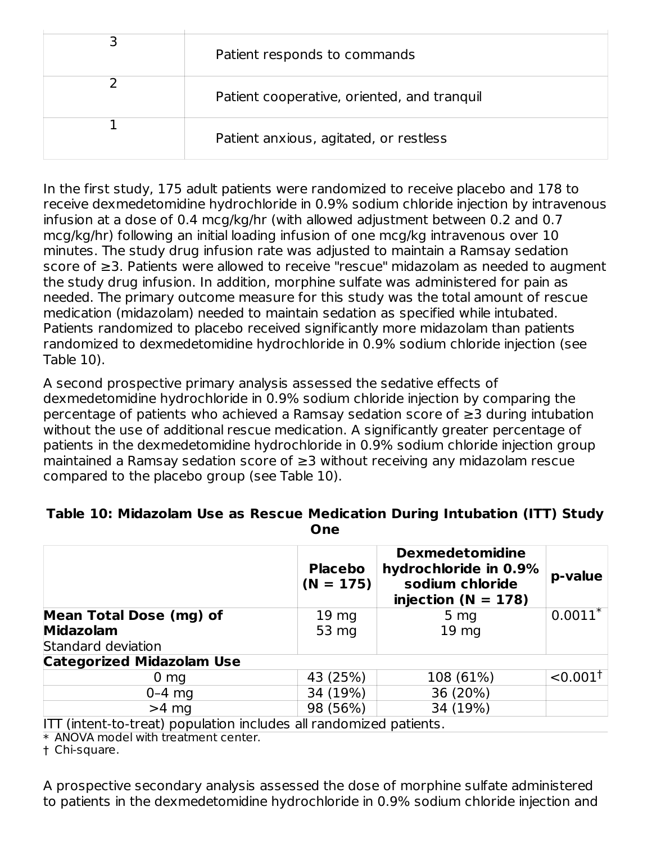| Patient responds to commands                |
|---------------------------------------------|
| Patient cooperative, oriented, and tranquil |
| Patient anxious, agitated, or restless      |

In the first study, 175 adult patients were randomized to receive placebo and 178 to receive dexmedetomidine hydrochloride in 0.9% sodium chloride injection by intravenous infusion at a dose of 0.4 mcg/kg/hr (with allowed adjustment between 0.2 and 0.7 mcg/kg/hr) following an initial loading infusion of one mcg/kg intravenous over 10 minutes. The study drug infusion rate was adjusted to maintain a Ramsay sedation score of ≥3. Patients were allowed to receive "rescue" midazolam as needed to augment the study drug infusion. In addition, morphine sulfate was administered for pain as needed. The primary outcome measure for this study was the total amount of rescue medication (midazolam) needed to maintain sedation as specified while intubated. Patients randomized to placebo received significantly more midazolam than patients randomized to dexmedetomidine hydrochloride in 0.9% sodium chloride injection (see Table 10).

A second prospective primary analysis assessed the sedative effects of dexmedetomidine hydrochloride in 0.9% sodium chloride injection by comparing the percentage of patients who achieved a Ramsay sedation score of ≥3 during intubation without the use of additional rescue medication. A significantly greater percentage of patients in the dexmedetomidine hydrochloride in 0.9% sodium chloride injection group maintained a Ramsay sedation score of ≥3 without receiving any midazolam rescue compared to the placebo group (see Table 10).

#### **Table 10: Midazolam Use as Rescue Medication During Intubation (ITT) Study One**

| <b>Placebo</b>   | <b>Dexmedetomidine</b><br>hydrochloride in 0.9%<br>sodium chloride<br>injection ( $N = 178$ ) | p-value                                                                            |
|------------------|-----------------------------------------------------------------------------------------------|------------------------------------------------------------------------------------|
| 19 <sub>mg</sub> | 5 <sub>mg</sub>                                                                               | $0.0011*$                                                                          |
| 53 mg            | 19 <sub>mg</sub>                                                                              |                                                                                    |
|                  |                                                                                               |                                                                                    |
|                  |                                                                                               |                                                                                    |
| 43 (25%)         | 108 (61%)                                                                                     | $< 0.001^{\dagger}$                                                                |
| 34 (19%)         | 36 (20%)                                                                                      |                                                                                    |
| 98 (56%)         | 34 (19%)                                                                                      |                                                                                    |
|                  |                                                                                               | $(N = 175)$<br>$ITI$ intent to treat) nonulation includes all rendersined notionte |

ITT (intent-to-treat) population includes all randomized patients.

\* ANOVA model with treatment center.

† Chi-square.

A prospective secondary analysis assessed the dose of morphine sulfate administered to patients in the dexmedetomidine hydrochloride in 0.9% sodium chloride injection and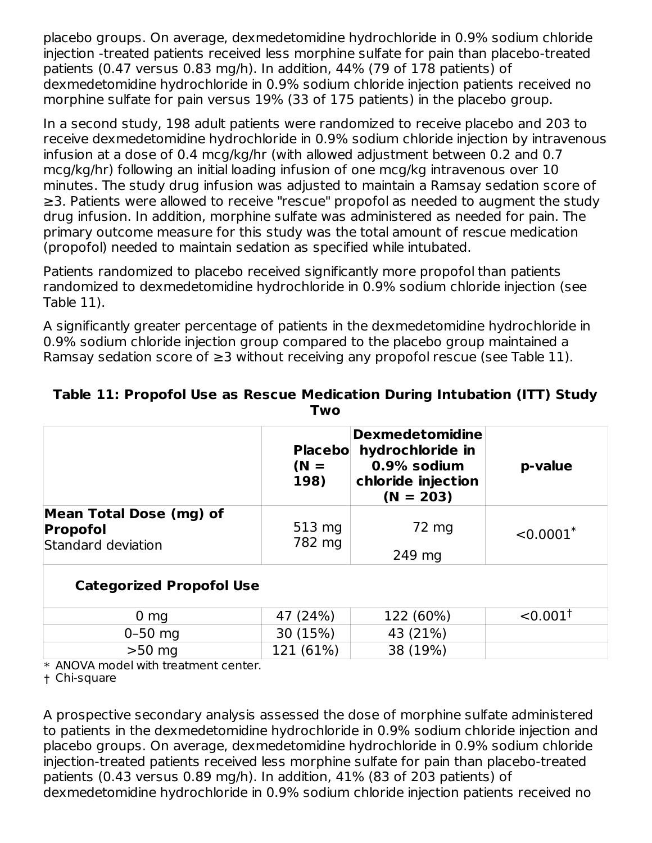placebo groups. On average, dexmedetomidine hydrochloride in 0.9% sodium chloride injection -treated patients received less morphine sulfate for pain than placebo-treated patients (0.47 versus 0.83 mg/h). In addition, 44% (79 of 178 patients) of dexmedetomidine hydrochloride in 0.9% sodium chloride injection patients received no morphine sulfate for pain versus 19% (33 of 175 patients) in the placebo group.

In a second study, 198 adult patients were randomized to receive placebo and 203 to receive dexmedetomidine hydrochloride in 0.9% sodium chloride injection by intravenous infusion at a dose of 0.4 mcg/kg/hr (with allowed adjustment between 0.2 and 0.7 mcg/kg/hr) following an initial loading infusion of one mcg/kg intravenous over 10 minutes. The study drug infusion was adjusted to maintain a Ramsay sedation score of ≥3. Patients were allowed to receive "rescue" propofol as needed to augment the study drug infusion. In addition, morphine sulfate was administered as needed for pain. The primary outcome measure for this study was the total amount of rescue medication (propofol) needed to maintain sedation as specified while intubated.

Patients randomized to placebo received significantly more propofol than patients randomized to dexmedetomidine hydrochloride in 0.9% sodium chloride injection (see Table 11).

A significantly greater percentage of patients in the dexmedetomidine hydrochloride in 0.9% sodium chloride injection group compared to the placebo group maintained a Ramsay sedation score of  $\geq$ 3 without receiving any propofol rescue (see Table 11).

|                                                                         | <b>Placebol</b><br>$(N =$<br>198) | <b>Dexmedetomidine</b><br>hydrochloride in<br>0.9% sodium<br>chloride injection<br>$(N = 203)$ | p-value                 |  |
|-------------------------------------------------------------------------|-----------------------------------|------------------------------------------------------------------------------------------------|-------------------------|--|
| <b>Mean Total Dose (mg) of</b><br><b>Propofol</b><br>Standard deviation | 513 mg<br>782 mg                  | 72 mg<br>249 mg                                                                                | $< 0.0001$ <sup>*</sup> |  |
| <b>Categorized Propofol Use</b>                                         |                                   |                                                                                                |                         |  |
| 0 <sub>mg</sub>                                                         | 47 (24%)                          | 122 (60%)                                                                                      | $< 0.001^{\dagger}$     |  |
| $0 - 50$ mg                                                             | 30 (15%)                          | 43 (21%)                                                                                       |                         |  |
| $>50$ mg                                                                | 121 (61%)                         | 38 (19%)                                                                                       |                         |  |

#### **Table 11: Propofol Use as Rescue Medication During Intubation (ITT) Study Two**

\* ANOVA model with treatment center.

† Chi-square

A prospective secondary analysis assessed the dose of morphine sulfate administered to patients in the dexmedetomidine hydrochloride in 0.9% sodium chloride injection and placebo groups. On average, dexmedetomidine hydrochloride in 0.9% sodium chloride injection-treated patients received less morphine sulfate for pain than placebo-treated patients (0.43 versus 0.89 mg/h). In addition, 41% (83 of 203 patients) of dexmedetomidine hydrochloride in 0.9% sodium chloride injection patients received no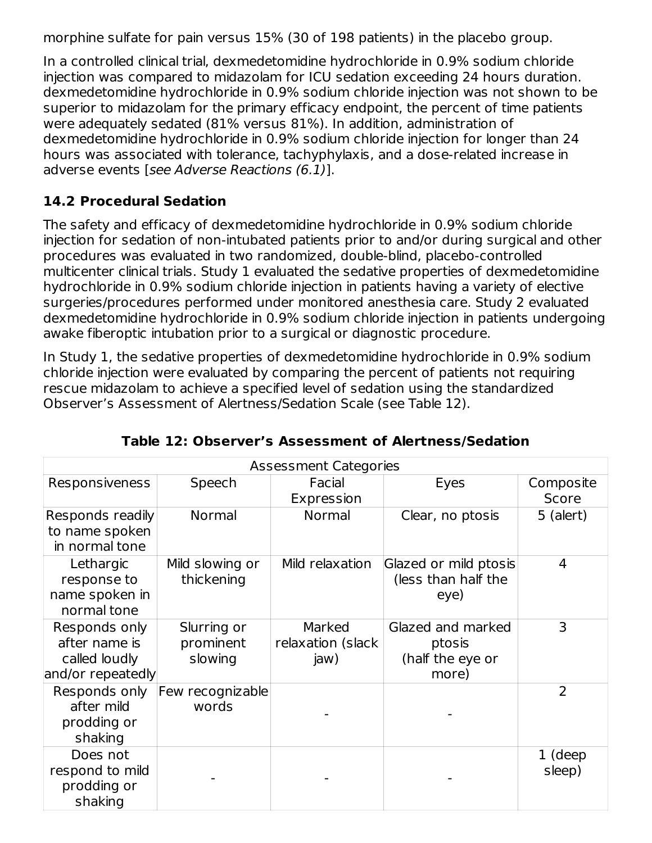morphine sulfate for pain versus 15% (30 of 198 patients) in the placebo group.

In a controlled clinical trial, dexmedetomidine hydrochloride in 0.9% sodium chloride injection was compared to midazolam for ICU sedation exceeding 24 hours duration. dexmedetomidine hydrochloride in 0.9% sodium chloride injection was not shown to be superior to midazolam for the primary efficacy endpoint, the percent of time patients were adequately sedated (81% versus 81%). In addition, administration of dexmedetomidine hydrochloride in 0.9% sodium chloride injection for longer than 24 hours was associated with tolerance, tachyphylaxis, and a dose-related increase in adverse events [see Adverse Reactions (6.1)].

# **14.2 Procedural Sedation**

The safety and efficacy of dexmedetomidine hydrochloride in 0.9% sodium chloride injection for sedation of non-intubated patients prior to and/or during surgical and other procedures was evaluated in two randomized, double-blind, placebo-controlled multicenter clinical trials. Study 1 evaluated the sedative properties of dexmedetomidine hydrochloride in 0.9% sodium chloride injection in patients having a variety of elective surgeries/procedures performed under monitored anesthesia care. Study 2 evaluated dexmedetomidine hydrochloride in 0.9% sodium chloride injection in patients undergoing awake fiberoptic intubation prior to a surgical or diagnostic procedure.

In Study 1, the sedative properties of dexmedetomidine hydrochloride in 0.9% sodium chloride injection were evaluated by comparing the percent of patients not requiring rescue midazolam to achieve a specified level of sedation using the standardized Observer's Assessment of Alertness/Sedation Scale (see Table 12).

| <b>Assessment Categories</b>                                         |                                     |                                     |                                                          |                    |  |  |
|----------------------------------------------------------------------|-------------------------------------|-------------------------------------|----------------------------------------------------------|--------------------|--|--|
| Responsiveness                                                       | Speech                              | Facial<br>Expression                | Eyes                                                     | Composite<br>Score |  |  |
| Responds readily<br>to name spoken<br>in normal tone                 | Normal                              | <b>Normal</b>                       | Clear, no ptosis                                         | 5 (alert)          |  |  |
| Lethargic<br>response to<br>name spoken in<br>normal tone            | Mild slowing or<br>thickening       | Mild relaxation                     | Glazed or mild ptosis<br>(less than half the<br>eye)     | 4                  |  |  |
| Responds only<br>after name is<br>called loudly<br>and/or repeatedly | Slurring or<br>prominent<br>slowing | Marked<br>relaxation (slack<br>jaw) | Glazed and marked<br>ptosis<br>(half the eye or<br>more) | 3                  |  |  |
| Responds only<br>after mild<br>prodding or<br>shaking                | Few recognizable<br>words           |                                     |                                                          | $\overline{2}$     |  |  |
| Does not<br>respond to mild<br>prodding or<br>shaking                |                                     |                                     |                                                          | 1 (deep<br>sleep)  |  |  |

**Table 12: Observer's Assessment of Alertness/Sedation**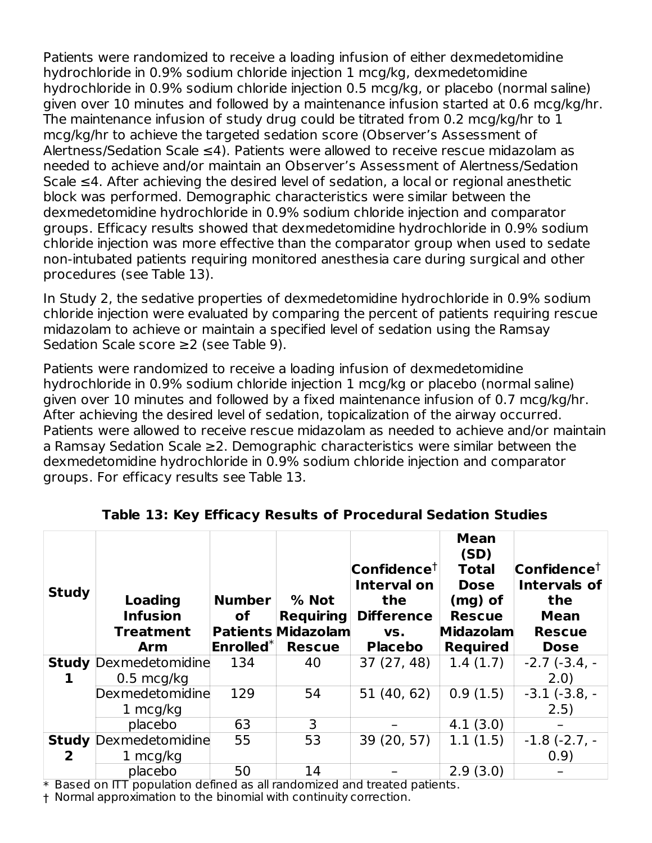Patients were randomized to receive a loading infusion of either dexmedetomidine hydrochloride in 0.9% sodium chloride injection 1 mcg/kg, dexmedetomidine hydrochloride in 0.9% sodium chloride injection 0.5 mcg/kg, or placebo (normal saline) given over 10 minutes and followed by a maintenance infusion started at 0.6 mcg/kg/hr. The maintenance infusion of study drug could be titrated from 0.2 mcg/kg/hr to 1 mcg/kg/hr to achieve the targeted sedation score (Observer's Assessment of Alertness/Sedation Scale ≤4). Patients were allowed to receive rescue midazolam as needed to achieve and/or maintain an Observer's Assessment of Alertness/Sedation Scale ≤4. After achieving the desired level of sedation, a local or regional anesthetic block was performed. Demographic characteristics were similar between the dexmedetomidine hydrochloride in 0.9% sodium chloride injection and comparator groups. Efficacy results showed that dexmedetomidine hydrochloride in 0.9% sodium chloride injection was more effective than the comparator group when used to sedate non-intubated patients requiring monitored anesthesia care during surgical and other procedures (see Table 13).

In Study 2, the sedative properties of dexmedetomidine hydrochloride in 0.9% sodium chloride injection were evaluated by comparing the percent of patients requiring rescue midazolam to achieve or maintain a specified level of sedation using the Ramsay Sedation Scale score ≥2 (see Table 9).

Patients were randomized to receive a loading infusion of dexmedetomidine hydrochloride in 0.9% sodium chloride injection 1 mcg/kg or placebo (normal saline) given over 10 minutes and followed by a fixed maintenance infusion of 0.7 mcg/kg/hr. After achieving the desired level of sedation, topicalization of the airway occurred. Patients were allowed to receive rescue midazolam as needed to achieve and/or maintain a Ramsay Sedation Scale ≥2. Demographic characteristics were similar between the dexmedetomidine hydrochloride in 0.9% sodium chloride injection and comparator groups. For efficacy results see Table 13.

| <b>Study</b> | <b>Loading</b><br><b>Infusion</b><br><b>Treatment</b><br>Arm | <b>Number</b><br>οf<br>$Enrolled^*$ | % Not<br><b>Requiring</b><br><b>Patients Midazolam</b><br><b>Rescue</b> | $\mathsf{Confidence}^\dagger$<br><b>Interval on</b><br>the<br><b>Difference</b><br>VS.<br><b>Placebo</b> | <b>Mean</b><br>(SD)<br><b>Total</b><br><b>Dose</b><br>$(mg)$ of<br><b>Rescue</b><br>Midazolam<br><b>Required</b> | $\mathsf{Confidence}^\dagger$<br><b>Intervals of</b><br>the<br><b>Mean</b><br><b>Rescue</b><br><b>Dose</b> |
|--------------|--------------------------------------------------------------|-------------------------------------|-------------------------------------------------------------------------|----------------------------------------------------------------------------------------------------------|------------------------------------------------------------------------------------------------------------------|------------------------------------------------------------------------------------------------------------|
|              | <b>Study Dexmedetomidine</b>                                 | 134                                 | 40                                                                      | 37 (27, 48)                                                                                              | 1.4(1.7)                                                                                                         | $-2.7$ $(-3.4, -$                                                                                          |
| ı            | $0.5 \text{ mcg/kg}$                                         |                                     |                                                                         |                                                                                                          |                                                                                                                  | 2.0)                                                                                                       |
|              | Dexmedetomidine                                              | 129                                 | 54                                                                      | 51 (40, 62)                                                                                              | 0.9(1.5)                                                                                                         | $-3.1(-3.8,-$                                                                                              |
|              | 1 $mcq/kg$                                                   |                                     |                                                                         |                                                                                                          |                                                                                                                  | 2.5)                                                                                                       |
|              | placebo                                                      | 63                                  | 3                                                                       |                                                                                                          | 4.1(3.0)                                                                                                         |                                                                                                            |
| <b>Study</b> | Dexmedetomidine                                              | 55                                  | 53                                                                      | 39 (20, 57)                                                                                              | 1.1(1.5)                                                                                                         | $-1.8(-2.7,-$                                                                                              |
| 2            | 1 $mcq/kg$                                                   |                                     |                                                                         |                                                                                                          |                                                                                                                  | 0.9)                                                                                                       |
|              | placebo                                                      | 50                                  | 14                                                                      |                                                                                                          | 2.9(3.0)                                                                                                         |                                                                                                            |

**Table 13: Key Efficacy Results of Procedural Sedation Studies**

\* Based on ITT population defined as all randomized and treated patients.

† Normal approximation to the binomial with continuity correction.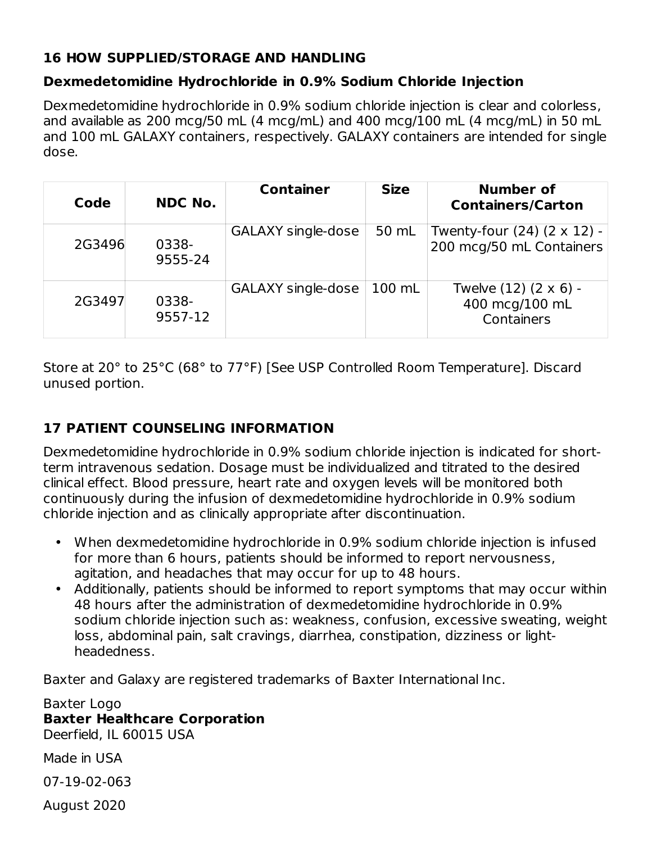## **16 HOW SUPPLIED/STORAGE AND HANDLING**

## **Dexmedetomidine Hydrochloride in 0.9% Sodium Chloride Injection**

Dexmedetomidine hydrochloride in 0.9% sodium chloride injection is clear and colorless, and available as 200 mcg/50 mL (4 mcg/mL) and 400 mcg/100 mL (4 mcg/mL) in 50 mL and 100 mL GALAXY containers, respectively. GALAXY containers are intended for single dose.

| Code   | <b>NDC No.</b>   | <b>Container</b>   | <b>Size</b> | <b>Number of</b><br><b>Containers/Carton</b>            |
|--------|------------------|--------------------|-------------|---------------------------------------------------------|
| 2G3496 | 0338-<br>9555-24 | GALAXY single-dose | 50 mL       | Twenty-four (24) (2 x 12) -<br>200 mcg/50 mL Containers |
| 2G3497 | 0338-<br>9557-12 | GALAXY single-dose | 100 mL      | Twelve (12) (2 x 6) -<br>400 mcg/100 mL<br>Containers   |

Store at 20° to 25°C (68° to 77°F) [See USP Controlled Room Temperature]. Discard unused portion.

## **17 PATIENT COUNSELING INFORMATION**

Dexmedetomidine hydrochloride in 0.9% sodium chloride injection is indicated for shortterm intravenous sedation. Dosage must be individualized and titrated to the desired clinical effect. Blood pressure, heart rate and oxygen levels will be monitored both continuously during the infusion of dexmedetomidine hydrochloride in 0.9% sodium chloride injection and as clinically appropriate after discontinuation.

- When dexmedetomidine hydrochloride in 0.9% sodium chloride injection is infused for more than 6 hours, patients should be informed to report nervousness, agitation, and headaches that may occur for up to 48 hours.
- Additionally, patients should be informed to report symptoms that may occur within 48 hours after the administration of dexmedetomidine hydrochloride in 0.9% sodium chloride injection such as: weakness, confusion, excessive sweating, weight loss, abdominal pain, salt cravings, diarrhea, constipation, dizziness or lightheadedness.

Baxter and Galaxy are registered trademarks of Baxter International Inc.

Baxter Logo **Baxter Healthcare Corporation** Deerfield, IL 60015 USA Made in USA

07-19-02-063

August 2020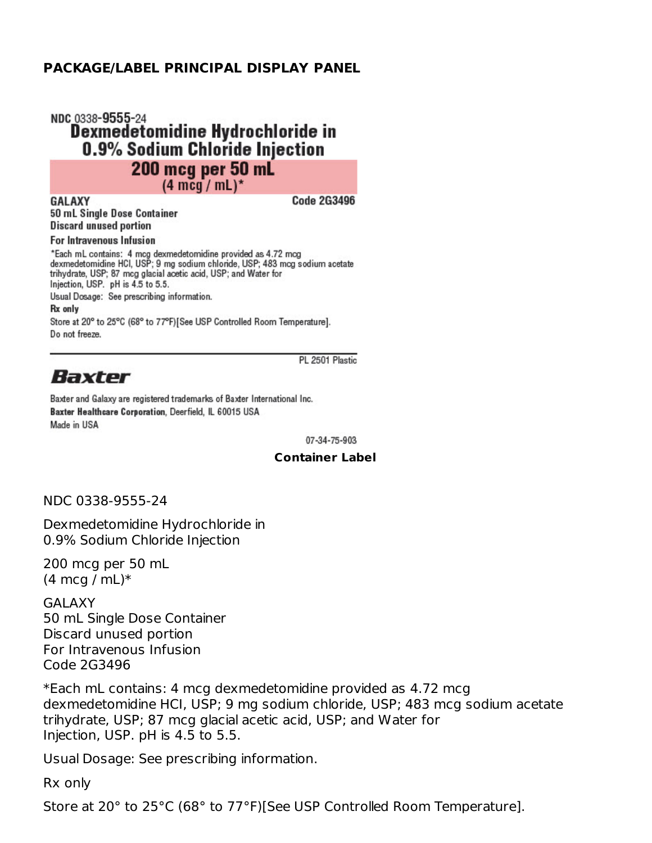#### **PACKAGE/LABEL PRINCIPAL DISPLAY PANEL**

### NDC 0338-9555-24 Dexmedetomidine Hydrochloride in 0.9% Sodium Chloride Injection **200 mcg per 50 mL**  $(4 \text{ mcq} / \text{mL})^*$

**GALAXY** 50 mL Single Dose Container **Discard unused portion** 

**Code 2G3496** 

#### **For Intravenous Infusion**

\*Each mL contains: 4 mcg dexmedetomidine provided as 4.72 mcg<br>dexmedetomidine HCl, USP; 9 mg sodium chloride, USP; 483 mcg sodium acetate trihydrate, USP; 87 mcg glacial acetic acid, USP; and Water for Injection, USP. pH is 4.5 to 5.5. Usual Dosage: See prescribing information. **Rx** only

Store at 20° to 25°C (68° to 77°F)[See USP Controlled Room Temperature]. Do not freeze.

#### PL 2501 Plastic

# Baxter

Baxter and Galaxy are registered trademarks of Baxter International Inc. Baxter Healthcare Corporation, Deerfield, IL 60015 USA Made in USA

07-34-75-903

#### **Container Label**

NDC 0338-9555-24

Dexmedetomidine Hydrochloride in 0.9% Sodium Chloride Injection

200 mcg per 50 mL  $(4 \text{ mcq } / \text{ mL})$ \*

GALAXY 50 mL Single Dose Container Discard unused portion For Intravenous Infusion Code 2G3496

\*Each mL contains: 4 mcg dexmedetomidine provided as 4.72 mcg dexmedetomidine HCI, USP; 9 mg sodium chloride, USP; 483 mcg sodium acetate trihydrate, USP; 87 mcg glacial acetic acid, USP; and Water for Injection, USP. pH is 4.5 to 5.5.

Usual Dosage: See prescribing information.

Rx only

Store at 20° to 25°C (68° to 77°F)[See USP Controlled Room Temperature].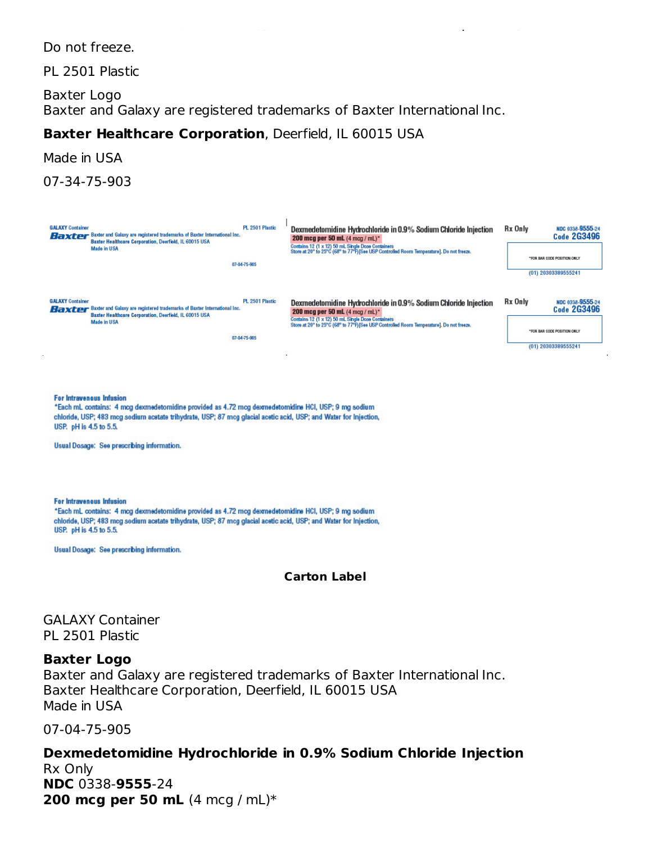Do not freeze.

PL 2501 Plastic

Baxter Logo Baxter and Galaxy are registered trademarks of Baxter International Inc.

Store at 20° to 25°C (68° to 77°F)[See USP Controlled Room Temperature].

## **Baxter Healthcare Corporation**, Deerfield, IL 60015 USA

Made in USA

07-34-75-903

| <b>GALAXY Container</b><br><b>Baxter</b> Baxter and Galaxy are registered trademarks of Baxter International Inc.<br>Baxter Healthcare Corporation, Deerfield, IL 60015 USA                                                                                                                                                        | PL 2501 Plastic                 | Dexmedetomidine Hydrochloride in 0.9% Sodium Chloride Injection<br>200 mcg per 50 mL (4 mog / mL)*                                                                                                                                                  | <b>Rx Only</b> | NDC 0338-9555-24<br><b>Code 2G3496</b>                                |
|------------------------------------------------------------------------------------------------------------------------------------------------------------------------------------------------------------------------------------------------------------------------------------------------------------------------------------|---------------------------------|-----------------------------------------------------------------------------------------------------------------------------------------------------------------------------------------------------------------------------------------------------|----------------|-----------------------------------------------------------------------|
| <b>Made in USA</b>                                                                                                                                                                                                                                                                                                                 |                                 | Contains 12 (1 x 12) 50 mL Single Dose Containers<br>Store at 20° to 25°C (68° to 77°F)[See USP Controlled Room Temperature]. Do not freeze.                                                                                                        |                | *FOR BAR CODE POSITION ONLY                                           |
|                                                                                                                                                                                                                                                                                                                                    | 07-04-75-905                    |                                                                                                                                                                                                                                                     |                | (01) 20303389555241                                                   |
| <b>GALAXY Container</b><br><b>Baxter</b> Baxter and Galaxy are registered trademarks of Baxter International Inc.<br>Baxter Healthcare Corporation, Deerfield, IL 60015 USA<br><b>Made in USA</b>                                                                                                                                  | PL 2501 Plastic<br>07-04-75-905 | Dexmedetomidine Hydrochloride in 0.9% Sodium Chloride Injection<br>200 mcg per 50 mL (4 mog / mL)*<br>Contains 12 (1 x 12) 50 mL Single Dose Containers<br>Store at 20° to 25°C (68° to 77°F) [See USP Controlled Room Temperature]. Do not freeze. | Rx Only        | NDC 0338-9555-24<br><b>Code 2G3496</b><br>*FOR BAR CODE POSITION ONLY |
|                                                                                                                                                                                                                                                                                                                                    |                                 |                                                                                                                                                                                                                                                     |                | (01) 20303389555241                                                   |
| <b>For Intravenous Infusion</b><br>*Each mL contains: 4 mcg dexmedetomidine provided as 4.72 mcg dexmedetomidine HCI, USP; 9 mg sodium<br>chloride, USP; 483 mcg sodium acetate trihydrate, USP; 87 mcg glacial acetic acid, USP; and Water for Injection,<br>USP. pH is 4.5 to 5.5.<br>Usual Dosage: See prescribing information. |                                 |                                                                                                                                                                                                                                                     |                |                                                                       |
| <b>For Intravenous Infusion</b><br>*Each mL contains: 4 mcg dexmedetomidine provided as 4.72 mcg dexmedetomidine HCI, USP; 9 mg sodium<br>chloride, USP; 483 mcg sodium acetate trihydrate, USP; 87 mcg glacial acetic acid, USP; and Water for Injection,<br>USP. pH is 4.5 to 5.5.                                               |                                 |                                                                                                                                                                                                                                                     |                |                                                                       |
| Usual Dosage: See prescribing information.                                                                                                                                                                                                                                                                                         |                                 |                                                                                                                                                                                                                                                     |                |                                                                       |
|                                                                                                                                                                                                                                                                                                                                    |                                 | <b>Carton Label</b>                                                                                                                                                                                                                                 |                |                                                                       |
| GALAXY Container                                                                                                                                                                                                                                                                                                                   |                                 |                                                                                                                                                                                                                                                     |                |                                                                       |
| PL 2501 Plastic                                                                                                                                                                                                                                                                                                                    |                                 |                                                                                                                                                                                                                                                     |                |                                                                       |

#### **Baxter Logo**

Baxter and Galaxy are registered trademarks of Baxter International Inc. Baxter Healthcare Corporation, Deerfield, IL 60015 USA Made in USA

07-04-75-905

**Dexmedetomidine Hydrochloride in 0.9% Sodium Chloride Injection** Rx Only **NDC** 0338-**9555**-24 **200 mcg per 50 mL** (4 mcg / mL)\*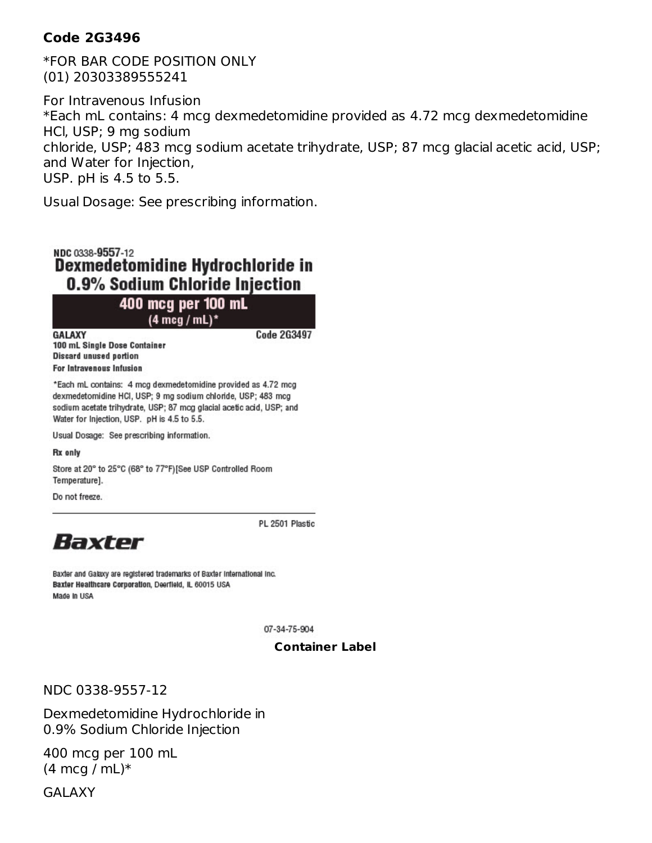#### **Code 2G3496**

\*FOR BAR CODE POSITION ONLY (01) 20303389555241

For Intravenous Infusion \*Each mL contains: 4 mcg dexmedetomidine provided as 4.72 mcg dexmedetomidine HCl, USP; 9 mg sodium chloride, USP; 483 mcg sodium acetate trihydrate, USP; 87 mcg glacial acetic acid, USP; and Water for Injection, USP. pH is 4.5 to 5.5.

Usual Dosage: See prescribing information.

NDC 0338-9557-12 Dexmedetomidine Hydrochloride in 0.9% Sodium Chloride Injection

400 mcg per 100 mL  $(4 \text{ mcq}/\text{mL})^*$ 

**GALAXY** 100 mL Single Dose Container **Discard unused portion For Intravenous Infusion** 

\*Each mL contains: 4 mcg dexmedetomidine provided as 4.72 mcg dexmedetomidine HCI, USP; 9 mg sodium chloride, USP; 483 mcg sodium acetate trihydrate, USP; 87 mcg glacial acetic acid, USP; and Water for Injection, USP. pH is 4.5 to 5.5.

Usual Dosage: See prescribing information.

Rx only

Store at 20° to 25°C (68° to 77°F)[See USP Controlled Room Temperature].

Do not freeze.

PL 2501 Plastic

**Code 2G3497** 



Baxter and Galaxy are registered trademarks of Baxter International Inc. Baxter Healthcare Corporation, Deerfield, IL 60015 USA Made In USA

07-34-75-904

#### **Container Label**

NDC 0338-9557-12

Dexmedetomidine Hydrochloride in 0.9% Sodium Chloride Injection

400 mcg per 100 mL  $(4 \text{ mcq } / \text{ mL})$ \*

GALAXY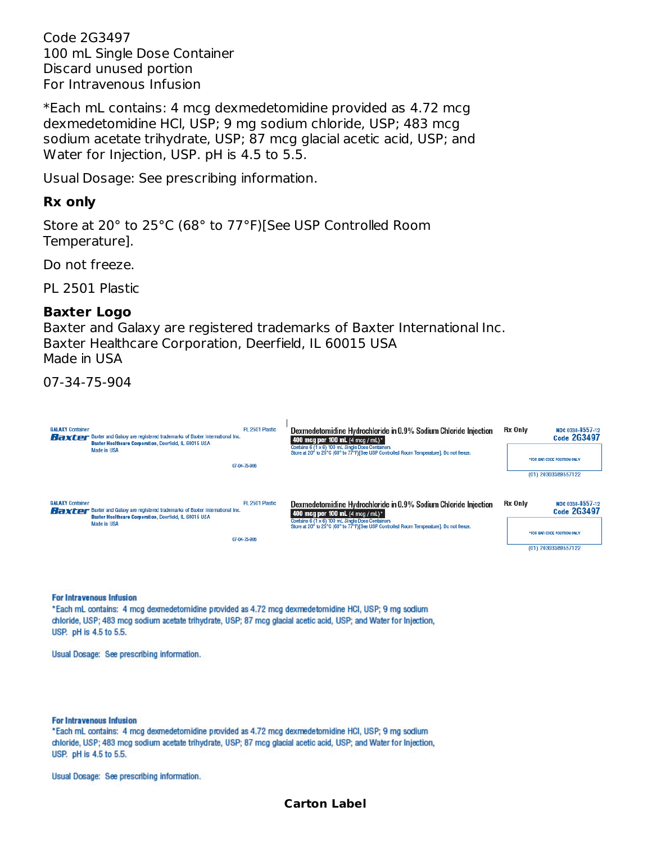Code 2G3497 100 mL Single Dose Container Discard unused portion For Intravenous Infusion

\*Each mL contains: 4 mcg dexmedetomidine provided as 4.72 mcg dexmedetomidine HCl, USP; 9 mg sodium chloride, USP; 483 mcg sodium acetate trihydrate, USP; 87 mcg glacial acetic acid, USP; and Water for Injection, USP. pH is 4.5 to 5.5.

Usual Dosage: See prescribing information.

#### **Rx only**

Store at 20° to 25°C (68° to 77°F)[See USP Controlled Room Temperature].

Do not freeze.

PL 2501 Plastic

#### **Baxter Logo**

Baxter and Galaxy are registered trademarks of Baxter International Inc. Baxter Healthcare Corporation, Deerfield, IL 60015 USA Made in USA

07-34-75-904



#### **For Intravenous Infusion**

\*Each mL contains: 4 mcg dexmedetomidine provided as 4.72 mcg dexmedetomidine HCI, USP; 9 mg sodium chloride, USP; 483 mcg sodium acetate trihydrate, USP; 87 mcg glacial acetic acid, USP; and Water for Injection, USP. pH is 4.5 to 5.5.

Usual Dosage: See prescribing information.

**For Intravenous Infusion** 

\*Each mL contains: 4 mcg dexmedetomidine provided as 4.72 mcg dexmedetomidine HCI, USP; 9 mg sodium chloride, USP; 483 mcg sodium acetate trihydrate, USP; 87 mcg glacial acetic acid, USP; and Water for Injection, USP. pH is 4.5 to 5.5.

Usual Dosage: See prescribing information.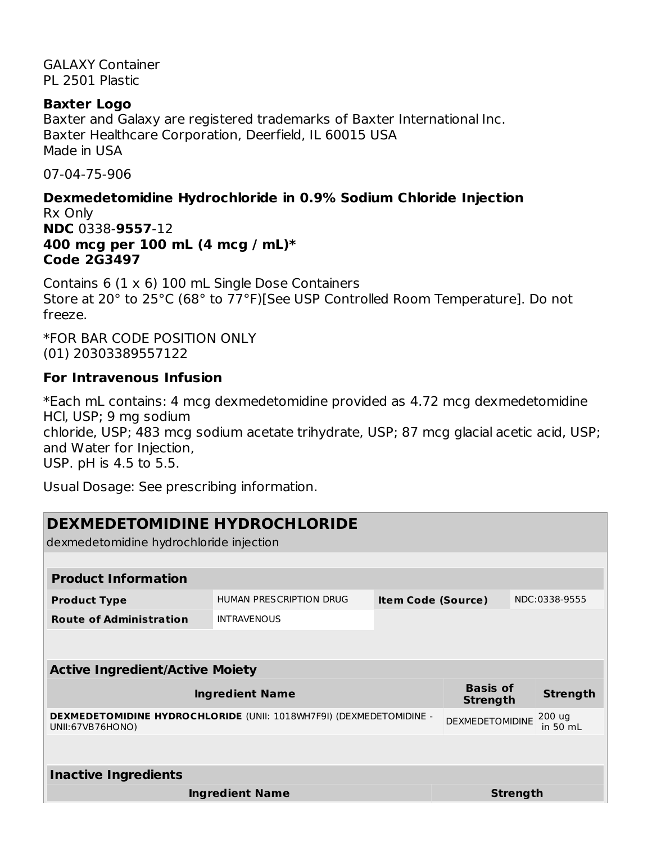GALAXY Container PL 2501 Plastic

#### **Baxter Logo**

Baxter and Galaxy are registered trademarks of Baxter International Inc. Baxter Healthcare Corporation, Deerfield, IL 60015 USA Made in USA

07-04-75-906

## **Dexmedetomidine Hydrochloride in 0.9% Sodium Chloride Injection** Rx Only

**NDC** 0338-**9557**-12 **400 mcg per 100 mL (4 mcg / mL)\* Code 2G3497**

Contains 6 (1 x 6) 100 mL Single Dose Containers Store at 20° to 25°C (68° to 77°F)[See USP Controlled Room Temperature]. Do not freeze.

\*FOR BAR CODE POSITION ONLY (01) 20303389557122

### **For Intravenous Infusion**

\*Each mL contains: 4 mcg dexmedetomidine provided as 4.72 mcg dexmedetomidine HCl, USP; 9 mg sodium chloride, USP; 483 mcg sodium acetate trihydrate, USP; 87 mcg glacial acetic acid, USP; and Water for Injection, USP. pH is 4.5 to 5.5.

Usual Dosage: See prescribing information.

| DEXMEDETOMIDINE HYDROCHLORIDE                                                           |                                        |                           |                                    |                 |                      |  |
|-----------------------------------------------------------------------------------------|----------------------------------------|---------------------------|------------------------------------|-----------------|----------------------|--|
| dexmedetomidine hydrochloride injection                                                 |                                        |                           |                                    |                 |                      |  |
|                                                                                         |                                        |                           |                                    |                 |                      |  |
| <b>Product Information</b>                                                              |                                        |                           |                                    |                 |                      |  |
| <b>Product Type</b>                                                                     | HUMAN PRESCRIPTION DRUG                | <b>Item Code (Source)</b> |                                    |                 | NDC:0338-9555        |  |
| <b>Route of Administration</b>                                                          | <b>INTRAVENOUS</b>                     |                           |                                    |                 |                      |  |
|                                                                                         |                                        |                           |                                    |                 |                      |  |
|                                                                                         |                                        |                           |                                    |                 |                      |  |
|                                                                                         | <b>Active Ingredient/Active Moiety</b> |                           |                                    |                 |                      |  |
|                                                                                         | <b>Ingredient Name</b>                 |                           | <b>Basis of</b><br><b>Strength</b> |                 | <b>Strength</b>      |  |
| DEXMEDETOMIDINE HYDROCHLORIDE (UNII: 1018WH7F9I) (DEXMEDETOMIDINE -<br>UNII:67VB76HONO) |                                        |                           | <b>DEXMEDETOMIDINE</b>             |                 | 200 uq<br>in $50$ mL |  |
|                                                                                         |                                        |                           |                                    |                 |                      |  |
| <b>Inactive Ingredients</b>                                                             |                                        |                           |                                    |                 |                      |  |
|                                                                                         | <b>Ingredient Name</b>                 |                           |                                    | <b>Strength</b> |                      |  |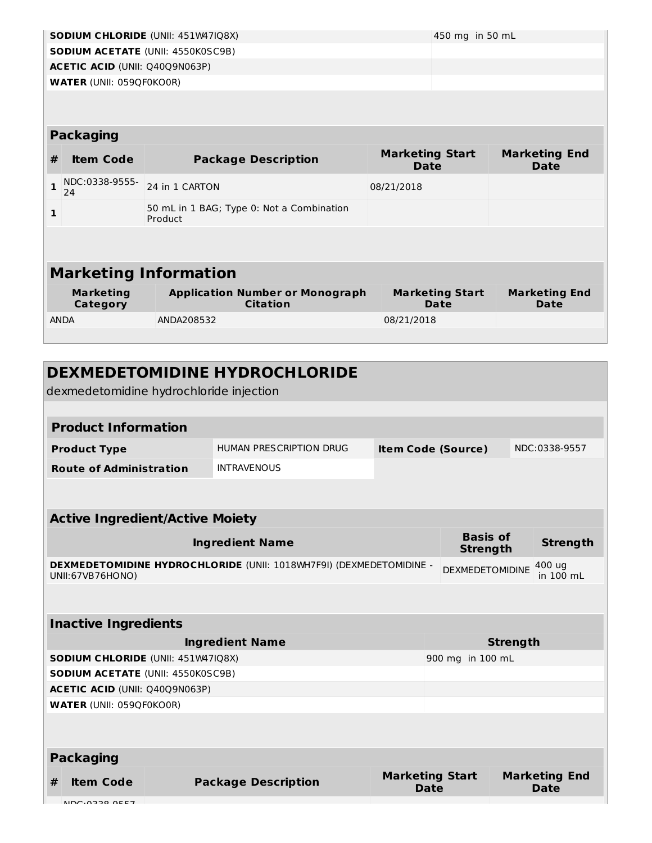|                              | <b>SODIUM CHLORIDE (UNII: 451W47IQ8X)</b><br>450 mg in 50 mL |                                                           |                                       |                              |  |  |  |  |
|------------------------------|--------------------------------------------------------------|-----------------------------------------------------------|---------------------------------------|------------------------------|--|--|--|--|
|                              | <b>SODIUM ACETATE (UNII: 4550K0SC9B)</b>                     |                                                           |                                       |                              |  |  |  |  |
|                              | <b>ACETIC ACID (UNII: Q40Q9N063P)</b>                        |                                                           |                                       |                              |  |  |  |  |
|                              | <b>WATER (UNII: 059QF0KO0R)</b>                              |                                                           |                                       |                              |  |  |  |  |
|                              |                                                              |                                                           |                                       |                              |  |  |  |  |
|                              |                                                              |                                                           |                                       |                              |  |  |  |  |
|                              | <b>Packaging</b>                                             |                                                           |                                       |                              |  |  |  |  |
| #                            | <b>Item Code</b>                                             | <b>Package Description</b>                                | <b>Marketing Start</b><br><b>Date</b> | <b>Marketing End</b><br>Date |  |  |  |  |
| $\mathbf{1}$                 | NDC:0338-9555-<br>24                                         | 24 in 1 CARTON                                            | 08/21/2018                            |                              |  |  |  |  |
| $\mathbf{1}$                 |                                                              | 50 mL in 1 BAG; Type 0: Not a Combination<br>Product      |                                       |                              |  |  |  |  |
|                              |                                                              |                                                           |                                       |                              |  |  |  |  |
|                              |                                                              |                                                           |                                       |                              |  |  |  |  |
| <b>Marketing Information</b> |                                                              |                                                           |                                       |                              |  |  |  |  |
| <b>Marketing</b><br>Category |                                                              | <b>Application Number or Monograph</b><br><b>Citation</b> | <b>Marketing Start</b><br>Date        | <b>Marketing End</b><br>Date |  |  |  |  |
| <b>ANDA</b><br>ANDA208532    |                                                              |                                                           | 08/21/2018                            |                              |  |  |  |  |
|                              |                                                              |                                                           |                                       |                              |  |  |  |  |
|                              |                                                              |                                                           |                                       |                              |  |  |  |  |

| <b>DEXMEDETOMIDINE HYDROCHLORIDE</b><br>dexmedetomidine hydrochloride injection         |                         |                           |                                    |  |                     |
|-----------------------------------------------------------------------------------------|-------------------------|---------------------------|------------------------------------|--|---------------------|
|                                                                                         |                         |                           |                                    |  |                     |
| <b>Product Information</b>                                                              |                         |                           |                                    |  |                     |
| <b>Product Type</b>                                                                     | HUMAN PRESCRIPTION DRUG | <b>Item Code (Source)</b> |                                    |  | NDC:0338-9557       |
| <b>Route of Administration</b>                                                          | <b>INTRAVENOUS</b>      |                           |                                    |  |                     |
|                                                                                         |                         |                           |                                    |  |                     |
| <b>Active Ingredient/Active Moiety</b>                                                  |                         |                           |                                    |  |                     |
| <b>Ingredient Name</b>                                                                  |                         |                           | <b>Basis of</b><br><b>Strength</b> |  | <b>Strength</b>     |
| DEXMEDETOMIDINE HYDROCHLORIDE (UNII: 1018WH7F9I) (DEXMEDETOMIDINE -<br>UNII:67VB76HONO) |                         |                           | <b>DEXMEDETOMIDINE</b>             |  | 400 ug<br>in 100 mL |
|                                                                                         |                         |                           |                                    |  |                     |
| <b>Inactive Ingredients</b>                                                             |                         |                           |                                    |  |                     |
| <b>Ingredient Name</b>                                                                  |                         |                           | <b>Strength</b>                    |  |                     |
| <b>SODIUM CHLORIDE (UNII: 451W47IQ8X)</b>                                               |                         |                           | 900 mg in 100 mL                   |  |                     |
| <b>SODIUM ACETATE (UNII: 4550K0SC9B)</b>                                                |                         |                           |                                    |  |                     |
| <b>ACETIC ACID (UNII: Q40Q9N063P)</b>                                                   |                         |                           |                                    |  |                     |
| <b>WATER (UNII: 059QF0KO0R)</b>                                                         |                         |                           |                                    |  |                     |
|                                                                                         |                         |                           |                                    |  |                     |

| <b>Packaging</b> |                            |                                |                                     |  |  |
|------------------|----------------------------|--------------------------------|-------------------------------------|--|--|
| <b>Item Code</b> | <b>Package Description</b> | <b>Marketing Start</b><br>Date | <b>Marketing End</b><br><b>Date</b> |  |  |
| NDC.02200E7      |                            |                                |                                     |  |  |
|                  |                            |                                |                                     |  |  |